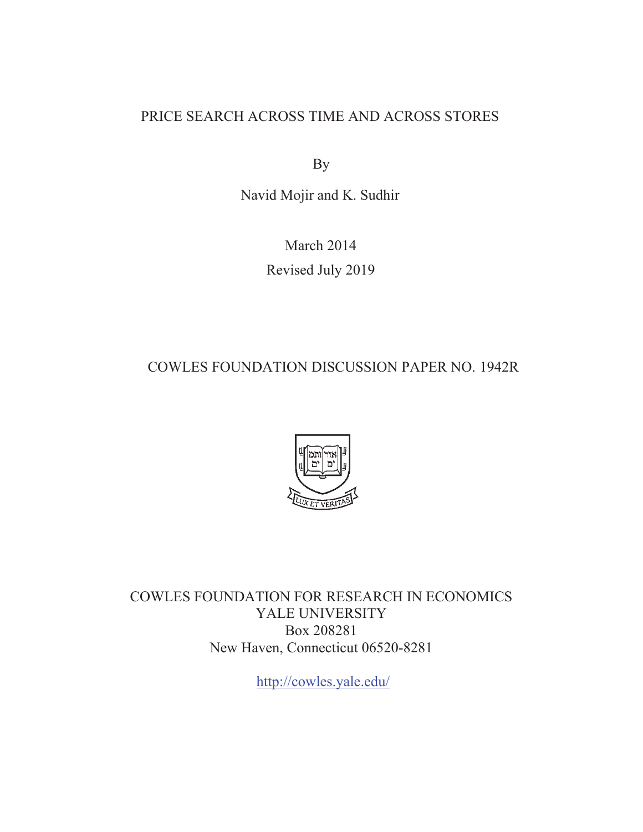# PRICE SEARCH ACROSS TIME AND ACROSS STORES

By

Navid Mojir and K. Sudhir

March 2014 Revised July 2019

COWLES FOUNDATION DISCUSSION PAPER NO. 1942R



COWLES FOUNDATION FOR RESEARCH IN ECONOMICS YALE UNIVERSITY Box 208281 New Haven, Connecticut 06520-8281

http://cowles.yale.edu/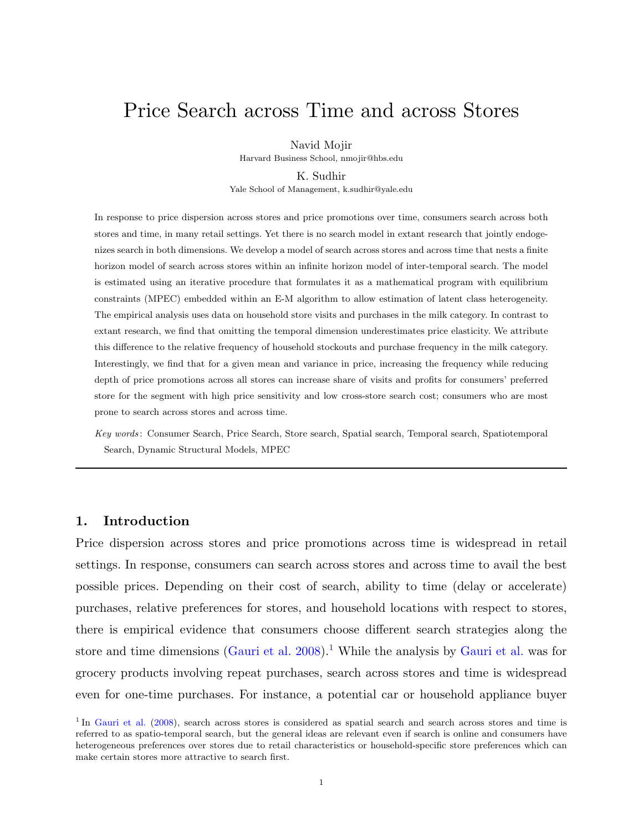# Price Search across Time and across Stores

Navid Mojir

Harvard Business School, nmojir@hbs.edu

K. Sudhir

Yale School of Management, k.sudhir@yale.edu

In response to price dispersion across stores and price promotions over time, consumers search across both stores and time, in many retail settings. Yet there is no search model in extant research that jointly endogenizes search in both dimensions. We develop a model of search across stores and across time that nests a finite horizon model of search across stores within an infinite horizon model of inter-temporal search. The model is estimated using an iterative procedure that formulates it as a mathematical program with equilibrium constraints (MPEC) embedded within an E-M algorithm to allow estimation of latent class heterogeneity. The empirical analysis uses data on household store visits and purchases in the milk category. In contrast to extant research, we find that omitting the temporal dimension underestimates price elasticity. We attribute this difference to the relative frequency of household stockouts and purchase frequency in the milk category. Interestingly, we find that for a given mean and variance in price, increasing the frequency while reducing depth of price promotions across all stores can increase share of visits and profits for consumers' preferred store for the segment with high price sensitivity and low cross-store search cost; consumers who are most prone to search across stores and across time.

Key words : Consumer Search, Price Search, Store search, Spatial search, Temporal search, Spatiotemporal Search, Dynamic Structural Models, MPEC

# <span id="page-1-1"></span>1. Introduction

Price dispersion across stores and price promotions across time is widespread in retail settings. In response, consumers can search across stores and across time to avail the best possible prices. Depending on their cost of search, ability to time (delay or accelerate) purchases, relative preferences for stores, and household locations with respect to stores, there is empirical evidence that consumers choose different search strategies along the store and time dimensions  $(Gauri et al. 2008)^{1}$  $(Gauri et al. 2008)^{1}$  $(Gauri et al. 2008)^{1}$  $(Gauri et al. 2008)^{1}$  $(Gauri et al. 2008)^{1}$  $(Gauri et al. 2008)^{1}$  While the analysis by [Gauri et al.](#page-41-0) was for grocery products involving repeat purchases, search across stores and time is widespread even for one-time purchases. For instance, a potential car or household appliance buyer

<span id="page-1-0"></span><sup>&</sup>lt;sup>1</sup> In [Gauri et al.](#page-41-0) [\(2008\)](#page-41-0), search across stores is considered as spatial search and search across stores and time is referred to as spatio-temporal search, but the general ideas are relevant even if search is online and consumers have heterogeneous preferences over stores due to retail characteristics or household-specific store preferences which can make certain stores more attractive to search first.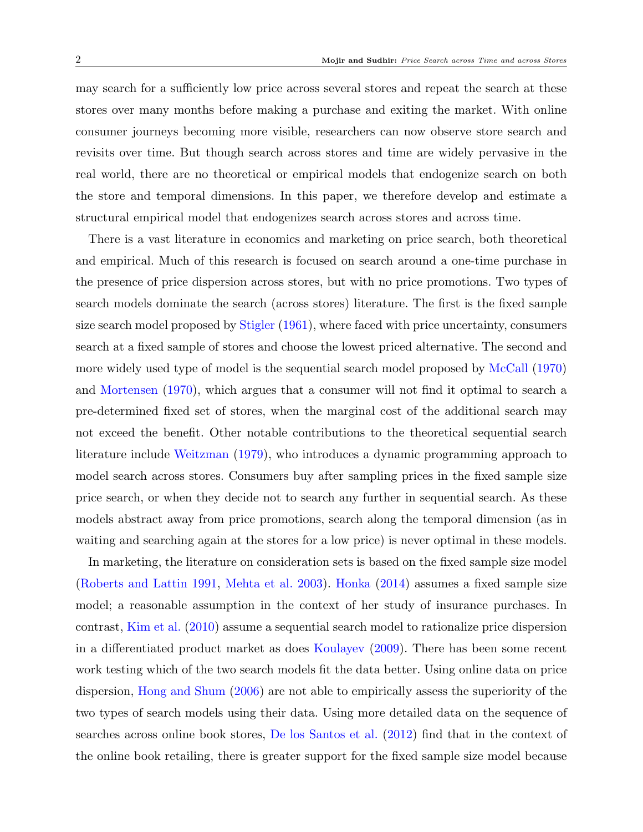may search for a sufficiently low price across several stores and repeat the search at these stores over many months before making a purchase and exiting the market. With online consumer journeys becoming more visible, researchers can now observe store search and revisits over time. But though search across stores and time are widely pervasive in the real world, there are no theoretical or empirical models that endogenize search on both the store and temporal dimensions. In this paper, we therefore develop and estimate a structural empirical model that endogenizes search across stores and across time.

There is a vast literature in economics and marketing on price search, both theoretical and empirical. Much of this research is focused on search around a one-time purchase in the presence of price dispersion across stores, but with no price promotions. Two types of search models dominate the search (across stores) literature. The first is the fixed sample size search model proposed by [Stigler](#page-42-0) [\(1961\)](#page-42-0), where faced with price uncertainty, consumers search at a fixed sample of stores and choose the lowest priced alternative. The second and more widely used type of model is the sequential search model proposed by [McCall](#page-42-1) [\(1970\)](#page-42-1) and [Mortensen](#page-42-2) [\(1970\)](#page-42-2), which argues that a consumer will not find it optimal to search a pre-determined fixed set of stores, when the marginal cost of the additional search may not exceed the benefit. Other notable contributions to the theoretical sequential search literature include [Weitzman](#page-42-3) [\(1979\)](#page-42-3), who introduces a dynamic programming approach to model search across stores. Consumers buy after sampling prices in the fixed sample size price search, or when they decide not to search any further in sequential search. As these models abstract away from price promotions, search along the temporal dimension (as in waiting and searching again at the stores for a low price) is never optimal in these models.

In marketing, the literature on consideration sets is based on the fixed sample size model [\(Roberts and Lattin](#page-42-4) [1991,](#page-42-4) [Mehta et al.](#page-42-5) [2003\)](#page-42-5). [Honka](#page-42-6) [\(2014\)](#page-42-6) assumes a fixed sample size model; a reasonable assumption in the context of her study of insurance purchases. In contrast, [Kim et al.](#page-42-7) [\(2010\)](#page-42-7) assume a sequential search model to rationalize price dispersion in a differentiated product market as does [Koulayev](#page-42-8) [\(2009\)](#page-42-8). There has been some recent work testing which of the two search models fit the data better. Using online data on price dispersion, [Hong and Shum](#page-42-9) [\(2006\)](#page-42-9) are not able to empirically assess the superiority of the two types of search models using their data. Using more detailed data on the sequence of searches across online book stores, [De los Santos et al.](#page-41-1) [\(2012\)](#page-41-1) find that in the context of the online book retailing, there is greater support for the fixed sample size model because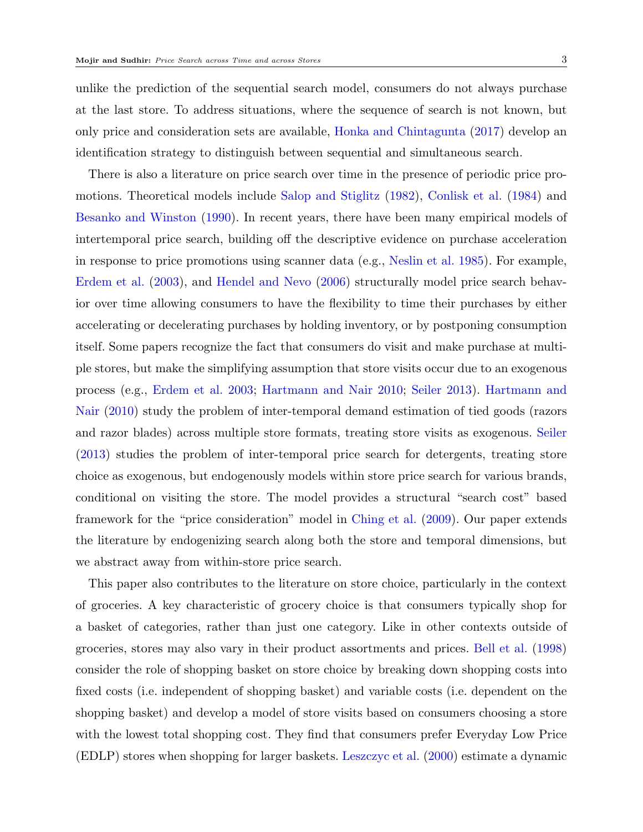unlike the prediction of the sequential search model, consumers do not always purchase at the last store. To address situations, where the sequence of search is not known, but only price and consideration sets are available, [Honka and Chintagunta](#page-42-10) [\(2017\)](#page-42-10) develop an identification strategy to distinguish between sequential and simultaneous search.

There is also a literature on price search over time in the presence of periodic price promotions. Theoretical models include [Salop and Stiglitz](#page-42-11) [\(1982\)](#page-42-11), [Conlisk et al.](#page-41-2) [\(1984\)](#page-41-2) and [Besanko and Winston](#page-41-3) [\(1990\)](#page-41-3). In recent years, there have been many empirical models of intertemporal price search, building off the descriptive evidence on purchase acceleration in response to price promotions using scanner data (e.g., [Neslin et al.](#page-42-12) [1985\)](#page-42-12). For example, [Erdem et al.](#page-41-4) [\(2003\)](#page-41-4), and [Hendel and Nevo](#page-41-5) [\(2006\)](#page-41-5) structurally model price search behavior over time allowing consumers to have the flexibility to time their purchases by either accelerating or decelerating purchases by holding inventory, or by postponing consumption itself. Some papers recognize the fact that consumers do visit and make purchase at multiple stores, but make the simplifying assumption that store visits occur due to an exogenous process (e.g., [Erdem et al.](#page-41-4) [2003;](#page-41-4) [Hartmann and Nair](#page-41-6) [2010;](#page-41-6) [Seiler](#page-42-13) [2013\)](#page-42-13). [Hartmann and](#page-41-6) [Nair](#page-41-6) [\(2010\)](#page-41-6) study the problem of inter-temporal demand estimation of tied goods (razors and razor blades) across multiple store formats, treating store visits as exogenous. [Seiler](#page-42-13) [\(2013\)](#page-42-13) studies the problem of inter-temporal price search for detergents, treating store choice as exogenous, but endogenously models within store price search for various brands, conditional on visiting the store. The model provides a structural "search cost" based framework for the "price consideration" model in [Ching et al.](#page-41-7) [\(2009\)](#page-41-7). Our paper extends the literature by endogenizing search along both the store and temporal dimensions, but we abstract away from within-store price search.

This paper also contributes to the literature on store choice, particularly in the context of groceries. A key characteristic of grocery choice is that consumers typically shop for a basket of categories, rather than just one category. Like in other contexts outside of groceries, stores may also vary in their product assortments and prices. [Bell et al.](#page-41-8) [\(1998\)](#page-41-8) consider the role of shopping basket on store choice by breaking down shopping costs into fixed costs (i.e. independent of shopping basket) and variable costs (i.e. dependent on the shopping basket) and develop a model of store visits based on consumers choosing a store with the lowest total shopping cost. They find that consumers prefer Everyday Low Price (EDLP) stores when shopping for larger baskets. [Leszczyc et al.](#page-42-14) [\(2000\)](#page-42-14) estimate a dynamic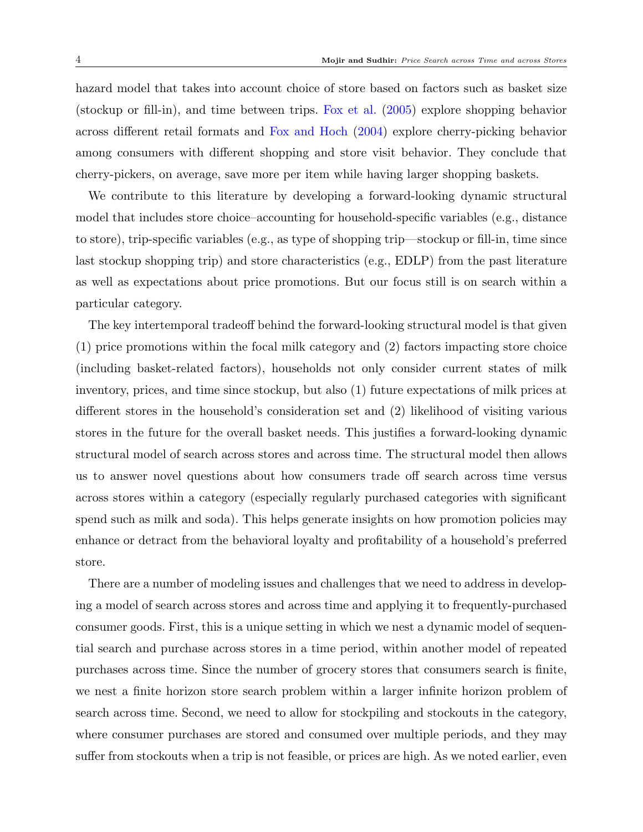hazard model that takes into account choice of store based on factors such as basket size (stockup or fill-in), and time between trips. [Fox et al.](#page-41-9) [\(2005\)](#page-41-9) explore shopping behavior across different retail formats and [Fox and Hoch](#page-41-10) [\(2004\)](#page-41-10) explore cherry-picking behavior among consumers with different shopping and store visit behavior. They conclude that cherry-pickers, on average, save more per item while having larger shopping baskets.

We contribute to this literature by developing a forward-looking dynamic structural model that includes store choice–accounting for household-specific variables (e.g., distance to store), trip-specific variables (e.g., as type of shopping trip—stockup or fill-in, time since last stockup shopping trip) and store characteristics (e.g., EDLP) from the past literature as well as expectations about price promotions. But our focus still is on search within a particular category.

The key intertemporal tradeoff behind the forward-looking structural model is that given (1) price promotions within the focal milk category and (2) factors impacting store choice (including basket-related factors), households not only consider current states of milk inventory, prices, and time since stockup, but also (1) future expectations of milk prices at different stores in the household's consideration set and (2) likelihood of visiting various stores in the future for the overall basket needs. This justifies a forward-looking dynamic structural model of search across stores and across time. The structural model then allows us to answer novel questions about how consumers trade off search across time versus across stores within a category (especially regularly purchased categories with significant spend such as milk and soda). This helps generate insights on how promotion policies may enhance or detract from the behavioral loyalty and profitability of a household's preferred store.

There are a number of modeling issues and challenges that we need to address in developing a model of search across stores and across time and applying it to frequently-purchased consumer goods. First, this is a unique setting in which we nest a dynamic model of sequential search and purchase across stores in a time period, within another model of repeated purchases across time. Since the number of grocery stores that consumers search is finite, we nest a finite horizon store search problem within a larger infinite horizon problem of search across time. Second, we need to allow for stockpiling and stockouts in the category, where consumer purchases are stored and consumed over multiple periods, and they may suffer from stockouts when a trip is not feasible, or prices are high. As we noted earlier, even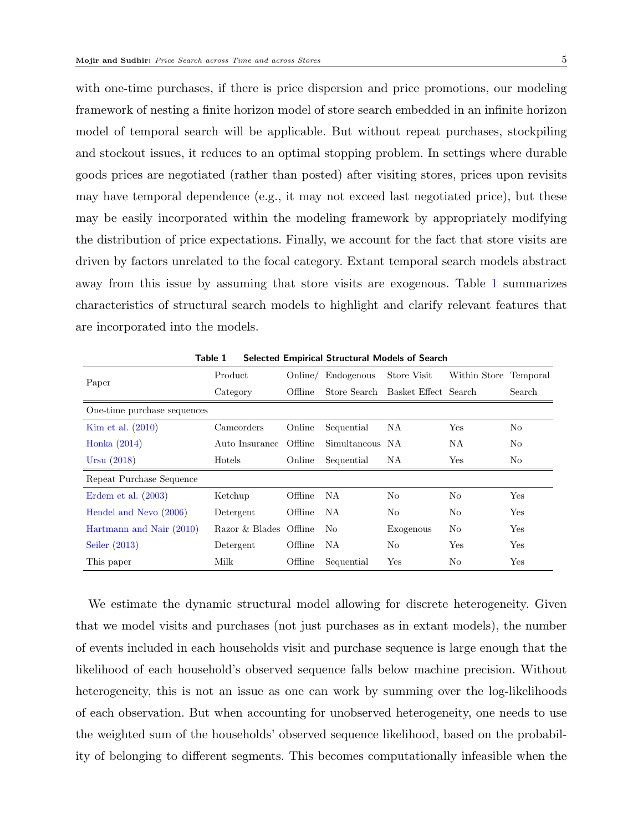with one-time purchases, if there is price dispersion and price promotions, our modeling framework of nesting a finite horizon model of store search embedded in an infinite horizon model of temporal search will be applicable. But without repeat purchases, stockpiling and stockout issues, it reduces to an optimal stopping problem. In settings where durable goods prices are negotiated (rather than posted) after visiting stores, prices upon revisits may have temporal dependence (e.g., it may not exceed last negotiated price), but these may be easily incorporated within the modeling framework by appropriately modifying the distribution of price expectations. Finally, we account for the fact that store visits are driven by factors unrelated to the focal category. Extant temporal search models abstract away from this issue by assuming that store visits are exogenous. Table [1](#page-5-0) summarizes characteristics of structural search models to highlight and clarify relevant features that are incorporated into the models.

<span id="page-5-0"></span>

| Paper                       | Product                | Online/ | Endogenous      | Store Visit                       | Within Store Temporal |                |
|-----------------------------|------------------------|---------|-----------------|-----------------------------------|-----------------------|----------------|
|                             | Category               | Offline |                 | Store Search Basket Effect Search |                       | Search         |
| One-time purchase sequences |                        |         |                 |                                   |                       |                |
| Kim et al. $(2010)$         | Camcorders             | Online  | Sequential      | NA                                | $\operatorname{Yes}$  | N <sub>o</sub> |
| Honka $(2014)$              | Auto Insurance         | Offline | Simultaneous NA |                                   | NА                    | N <sub>o</sub> |
| Ursu $(2018)$               | Hotels                 | Online  | Sequential      | NА                                | Yes                   | No             |
| Repeat Purchase Sequence    |                        |         |                 |                                   |                       |                |
| Erdem et al. $(2003)$       | Ketchup                | Offline | NA.             | No                                | No                    | Yes            |
| Hendel and Nevo (2006)      | Detergent              | Offline | NA.             | No                                | No                    | Yes            |
| Hartmann and Nair (2010)    | Razor & Blades Offline |         | No.             | Exogenous                         | No                    | Yes            |
| Seiler $(2013)$             | Detergent              | Offline | NA.             | No.                               | Yes                   | Yes            |
| This paper                  | Milk                   | Offline | Sequential      | Yes                               | No                    | Yes            |

Table 1 Selected Empirical Structural Models of Search

We estimate the dynamic structural model allowing for discrete heterogeneity. Given that we model visits and purchases (not just purchases as in extant models), the number of events included in each households visit and purchase sequence is large enough that the likelihood of each household's observed sequence falls below machine precision. Without heterogeneity, this is not an issue as one can work by summing over the log-likelihoods of each observation. But when accounting for unobserved heterogeneity, one needs to use the weighted sum of the households' observed sequence likelihood, based on the probability of belonging to different segments. This becomes computationally infeasible when the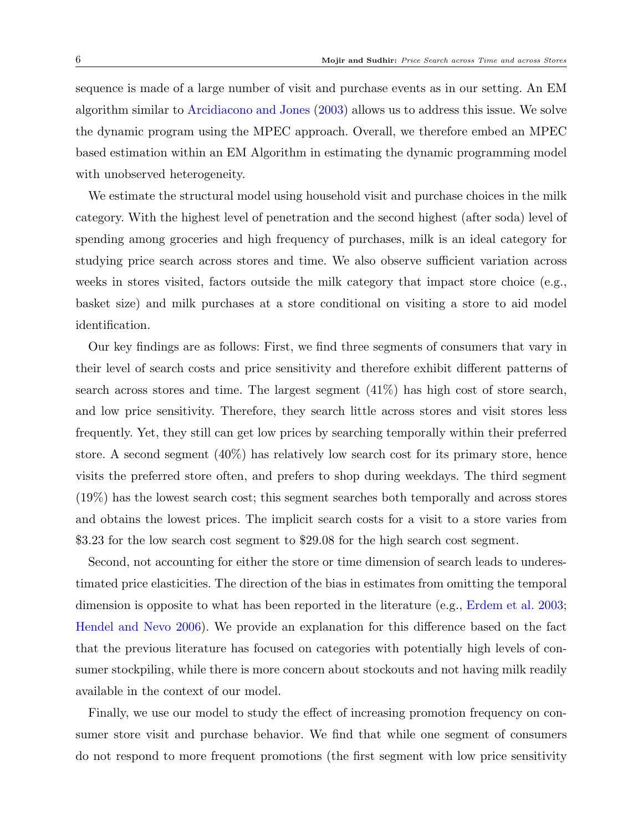sequence is made of a large number of visit and purchase events as in our setting. An EM algorithm similar to [Arcidiacono and Jones](#page-41-11) [\(2003\)](#page-41-11) allows us to address this issue. We solve the dynamic program using the MPEC approach. Overall, we therefore embed an MPEC based estimation within an EM Algorithm in estimating the dynamic programming model with unobserved heterogeneity.

We estimate the structural model using household visit and purchase choices in the milk category. With the highest level of penetration and the second highest (after soda) level of spending among groceries and high frequency of purchases, milk is an ideal category for studying price search across stores and time. We also observe sufficient variation across weeks in stores visited, factors outside the milk category that impact store choice (e.g., basket size) and milk purchases at a store conditional on visiting a store to aid model identification.

Our key findings are as follows: First, we find three segments of consumers that vary in their level of search costs and price sensitivity and therefore exhibit different patterns of search across stores and time. The largest segment (41%) has high cost of store search, and low price sensitivity. Therefore, they search little across stores and visit stores less frequently. Yet, they still can get low prices by searching temporally within their preferred store. A second segment (40%) has relatively low search cost for its primary store, hence visits the preferred store often, and prefers to shop during weekdays. The third segment (19%) has the lowest search cost; this segment searches both temporally and across stores and obtains the lowest prices. The implicit search costs for a visit to a store varies from \$3.23 for the low search cost segment to \$29.08 for the high search cost segment.

Second, not accounting for either the store or time dimension of search leads to underestimated price elasticities. The direction of the bias in estimates from omitting the temporal dimension is opposite to what has been reported in the literature (e.g., [Erdem et al.](#page-41-4) [2003;](#page-41-4) [Hendel and Nevo](#page-41-5) [2006\)](#page-41-5). We provide an explanation for this difference based on the fact that the previous literature has focused on categories with potentially high levels of consumer stockpiling, while there is more concern about stockouts and not having milk readily available in the context of our model.

Finally, we use our model to study the effect of increasing promotion frequency on consumer store visit and purchase behavior. We find that while one segment of consumers do not respond to more frequent promotions (the first segment with low price sensitivity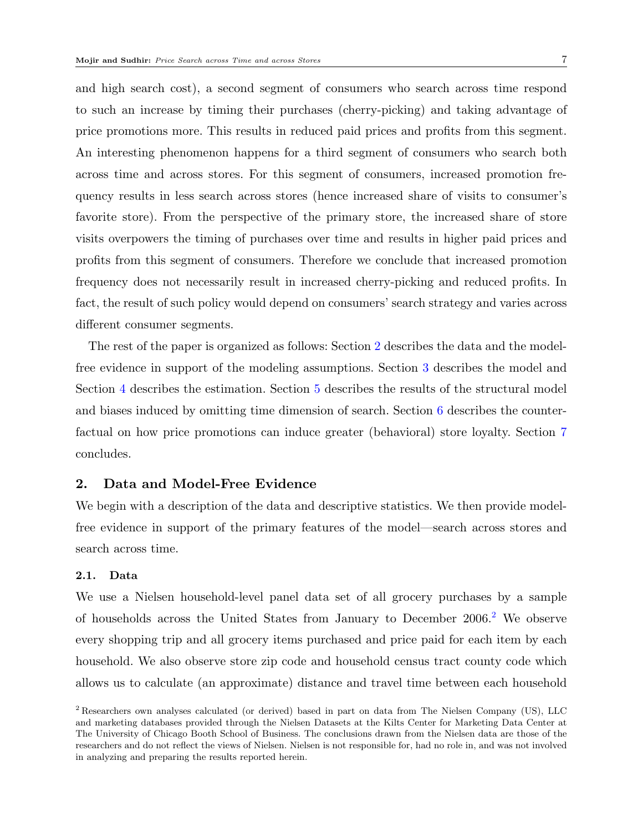and high search cost), a second segment of consumers who search across time respond to such an increase by timing their purchases (cherry-picking) and taking advantage of price promotions more. This results in reduced paid prices and profits from this segment. An interesting phenomenon happens for a third segment of consumers who search both across time and across stores. For this segment of consumers, increased promotion frequency results in less search across stores (hence increased share of visits to consumer's favorite store). From the perspective of the primary store, the increased share of store visits overpowers the timing of purchases over time and results in higher paid prices and profits from this segment of consumers. Therefore we conclude that increased promotion frequency does not necessarily result in increased cherry-picking and reduced profits. In fact, the result of such policy would depend on consumers' search strategy and varies across different consumer segments.

The rest of the paper is organized as follows: Section [2](#page-7-0) describes the data and the modelfree evidence in support of the modeling assumptions. Section [3](#page-13-0) describes the model and Section [4](#page-25-0) describes the estimation. Section [5](#page-30-0) describes the results of the structural model and biases induced by omitting time dimension of search. Section [6](#page-35-0) describes the counterfactual on how price promotions can induce greater (behavioral) store loyalty. Section [7](#page-38-0) concludes.

# <span id="page-7-0"></span>2. Data and Model-Free Evidence

We begin with a description of the data and descriptive statistics. We then provide modelfree evidence in support of the primary features of the model—search across stores and search across time.

# <span id="page-7-2"></span>2.1. Data

We use a Nielsen household-level panel data set of all grocery purchases by a sample of households across the United States from January to December 2006.[2](#page-7-1) We observe every shopping trip and all grocery items purchased and price paid for each item by each household. We also observe store zip code and household census tract county code which allows us to calculate (an approximate) distance and travel time between each household

<span id="page-7-1"></span><sup>&</sup>lt;sup>2</sup> Researchers own analyses calculated (or derived) based in part on data from The Nielsen Company (US), LLC and marketing databases provided through the Nielsen Datasets at the Kilts Center for Marketing Data Center at The University of Chicago Booth School of Business. The conclusions drawn from the Nielsen data are those of the researchers and do not reflect the views of Nielsen. Nielsen is not responsible for, had no role in, and was not involved in analyzing and preparing the results reported herein.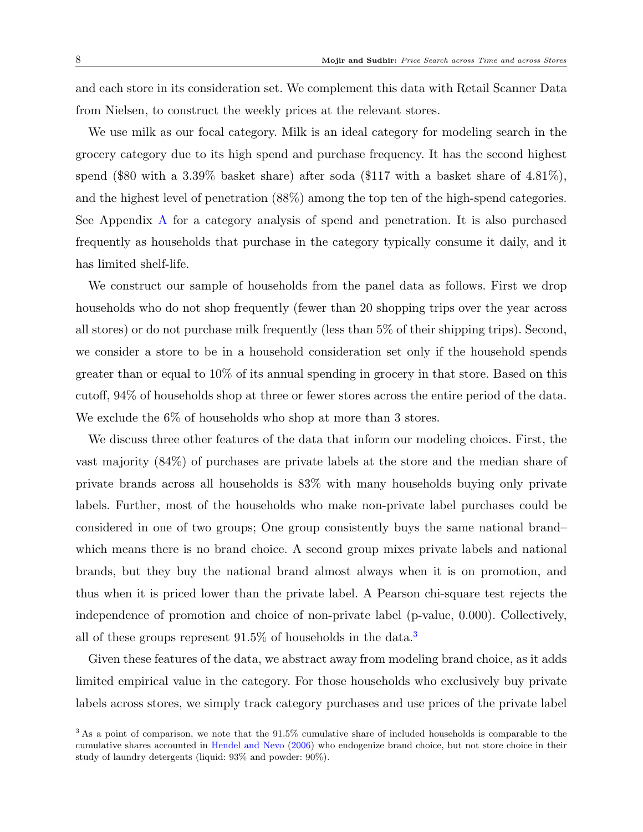and each store in its consideration set. We complement this data with Retail Scanner Data from Nielsen, to construct the weekly prices at the relevant stores.

We use milk as our focal category. Milk is an ideal category for modeling search in the grocery category due to its high spend and purchase frequency. It has the second highest spend (\$80 with a 3.39% basket share) after soda (\$117 with a basket share of 4.81%), and the highest level of penetration (88%) among the top ten of the high-spend categories. See Appendix [A](#page-1-1) for a category analysis of spend and penetration. It is also purchased frequently as households that purchase in the category typically consume it daily, and it has limited shelf-life.

We construct our sample of households from the panel data as follows. First we drop households who do not shop frequently (fewer than 20 shopping trips over the year across all stores) or do not purchase milk frequently (less than 5% of their shipping trips). Second, we consider a store to be in a household consideration set only if the household spends greater than or equal to 10% of its annual spending in grocery in that store. Based on this cutoff, 94% of households shop at three or fewer stores across the entire period of the data. We exclude the  $6\%$  of households who shop at more than 3 stores.

We discuss three other features of the data that inform our modeling choices. First, the vast majority (84%) of purchases are private labels at the store and the median share of private brands across all households is 83% with many households buying only private labels. Further, most of the households who make non-private label purchases could be considered in one of two groups; One group consistently buys the same national brand– which means there is no brand choice. A second group mixes private labels and national brands, but they buy the national brand almost always when it is on promotion, and thus when it is priced lower than the private label. A Pearson chi-square test rejects the independence of promotion and choice of non-private label (p-value, 0.000). Collectively, all of these groups represent  $91.5\%$  of households in the data.<sup>[3](#page-8-0)</sup>

Given these features of the data, we abstract away from modeling brand choice, as it adds limited empirical value in the category. For those households who exclusively buy private labels across stores, we simply track category purchases and use prices of the private label

<span id="page-8-0"></span><sup>&</sup>lt;sup>3</sup> As a point of comparison, we note that the 91.5% cumulative share of included households is comparable to the cumulative shares accounted in [Hendel and Nevo](#page-41-5) [\(2006\)](#page-41-5) who endogenize brand choice, but not store choice in their study of laundry detergents (liquid: 93% and powder: 90%).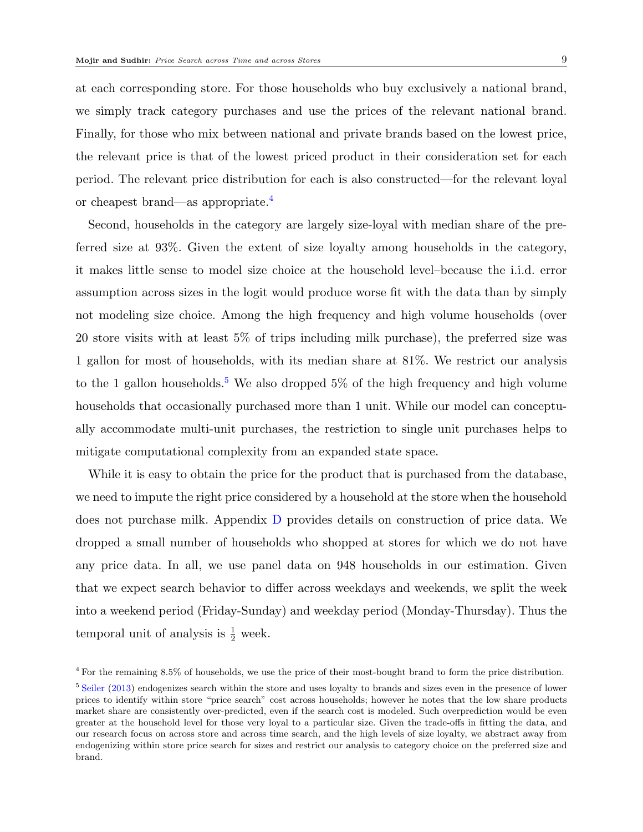at each corresponding store. For those households who buy exclusively a national brand, we simply track category purchases and use the prices of the relevant national brand. Finally, for those who mix between national and private brands based on the lowest price, the relevant price is that of the lowest priced product in their consideration set for each period. The relevant price distribution for each is also constructed—for the relevant loyal or cheapest brand—as appropriate.[4](#page-9-0)

Second, households in the category are largely size-loyal with median share of the preferred size at 93%. Given the extent of size loyalty among households in the category, it makes little sense to model size choice at the household level–because the i.i.d. error assumption across sizes in the logit would produce worse fit with the data than by simply not modeling size choice. Among the high frequency and high volume households (over 20 store visits with at least 5% of trips including milk purchase), the preferred size was 1 gallon for most of households, with its median share at 81%. We restrict our analysis to the 1 gallon households.<sup>[5](#page-9-1)</sup> We also dropped  $5\%$  of the high frequency and high volume households that occasionally purchased more than 1 unit. While our model can conceptually accommodate multi-unit purchases, the restriction to single unit purchases helps to mitigate computational complexity from an expanded state space.

While it is easy to obtain the price for the product that is purchased from the database, we need to impute the right price considered by a household at the store when the household does not purchase milk. Appendix [D](#page-25-0) provides details on construction of price data. We dropped a small number of households who shopped at stores for which we do not have any price data. In all, we use panel data on 948 households in our estimation. Given that we expect search behavior to differ across weekdays and weekends, we split the week into a weekend period (Friday-Sunday) and weekday period (Monday-Thursday). Thus the temporal unit of analysis is  $\frac{1}{2}$  week.

<span id="page-9-1"></span><span id="page-9-0"></span><sup>4</sup> For the remaining 8.5% of households, we use the price of their most-bought brand to form the price distribution. <sup>5</sup> [Seiler](#page-42-13) [\(2013\)](#page-42-13) endogenizes search within the store and uses loyalty to brands and sizes even in the presence of lower prices to identify within store "price search" cost across households; however he notes that the low share products market share are consistently over-predicted, even if the search cost is modeled. Such overprediction would be even greater at the household level for those very loyal to a particular size. Given the trade-offs in fitting the data, and our research focus on across store and across time search, and the high levels of size loyalty, we abstract away from endogenizing within store price search for sizes and restrict our analysis to category choice on the preferred size and brand.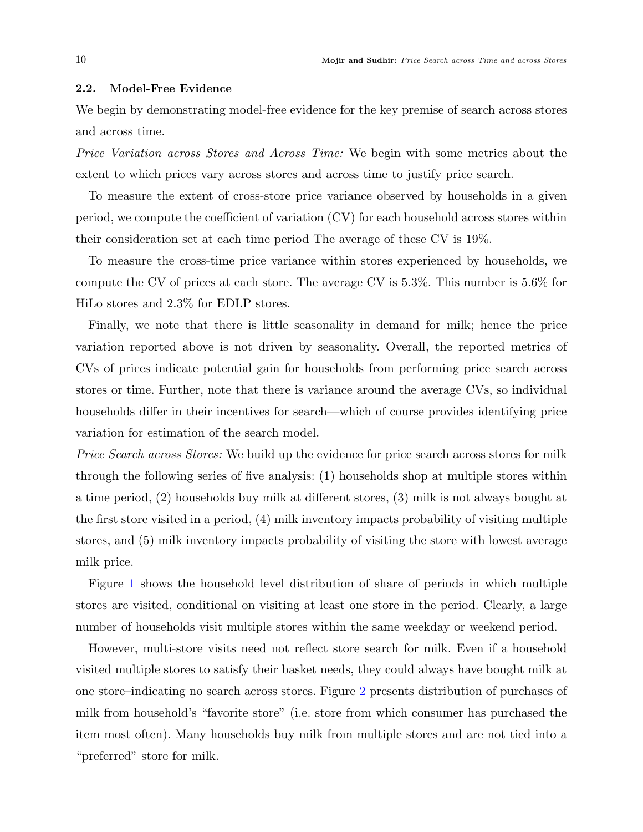## 2.2. Model-Free Evidence

We begin by demonstrating model-free evidence for the key premise of search across stores and across time.

Price Variation across Stores and Across Time: We begin with some metrics about the extent to which prices vary across stores and across time to justify price search.

To measure the extent of cross-store price variance observed by households in a given period, we compute the coefficient of variation (CV) for each household across stores within their consideration set at each time period The average of these CV is 19%.

To measure the cross-time price variance within stores experienced by households, we compute the CV of prices at each store. The average CV is 5.3%. This number is 5.6% for HiLo stores and 2.3% for EDLP stores.

Finally, we note that there is little seasonality in demand for milk; hence the price variation reported above is not driven by seasonality. Overall, the reported metrics of CVs of prices indicate potential gain for households from performing price search across stores or time. Further, note that there is variance around the average CVs, so individual households differ in their incentives for search—which of course provides identifying price variation for estimation of the search model.

Price Search across Stores: We build up the evidence for price search across stores for milk through the following series of five analysis: (1) households shop at multiple stores within a time period, (2) households buy milk at different stores, (3) milk is not always bought at the first store visited in a period, (4) milk inventory impacts probability of visiting multiple stores, and (5) milk inventory impacts probability of visiting the store with lowest average milk price.

Figure [1](#page-11-0) shows the household level distribution of share of periods in which multiple stores are visited, conditional on visiting at least one store in the period. Clearly, a large number of households visit multiple stores within the same weekday or weekend period.

However, multi-store visits need not reflect store search for milk. Even if a household visited multiple stores to satisfy their basket needs, they could always have bought milk at one store–indicating no search across stores. Figure [2](#page-11-1) presents distribution of purchases of milk from household's "favorite store" (i.e. store from which consumer has purchased the item most often). Many households buy milk from multiple stores and are not tied into a "preferred" store for milk.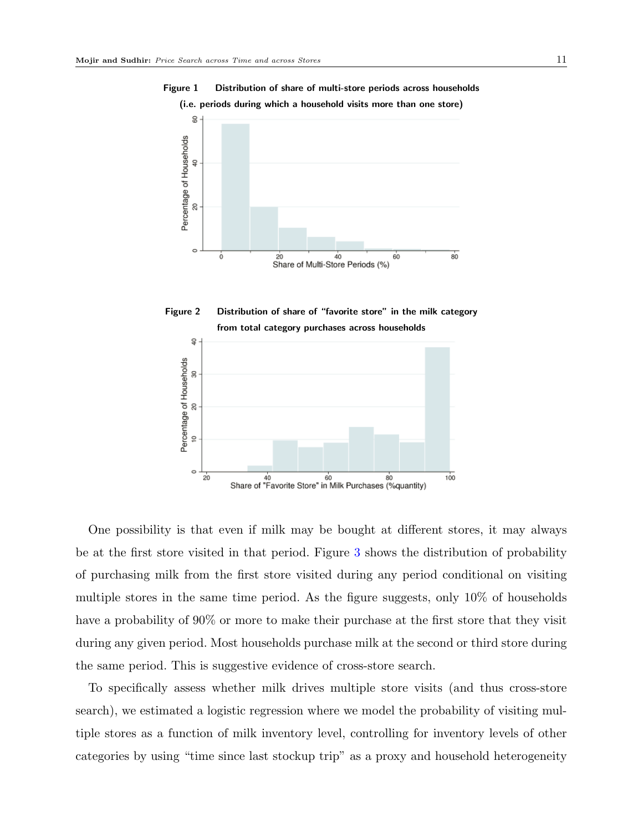

<span id="page-11-0"></span>Figure 1 Distribution of share of multi-store periods across households

<span id="page-11-1"></span>

One possibility is that even if milk may be bought at different stores, it may always be at the first store visited in that period. Figure [3](#page-12-0) shows the distribution of probability of purchasing milk from the first store visited during any period conditional on visiting multiple stores in the same time period. As the figure suggests, only 10% of households have a probability of 90% or more to make their purchase at the first store that they visit during any given period. Most households purchase milk at the second or third store during the same period. This is suggestive evidence of cross-store search.

To specifically assess whether milk drives multiple store visits (and thus cross-store search), we estimated a logistic regression where we model the probability of visiting multiple stores as a function of milk inventory level, controlling for inventory levels of other categories by using "time since last stockup trip" as a proxy and household heterogeneity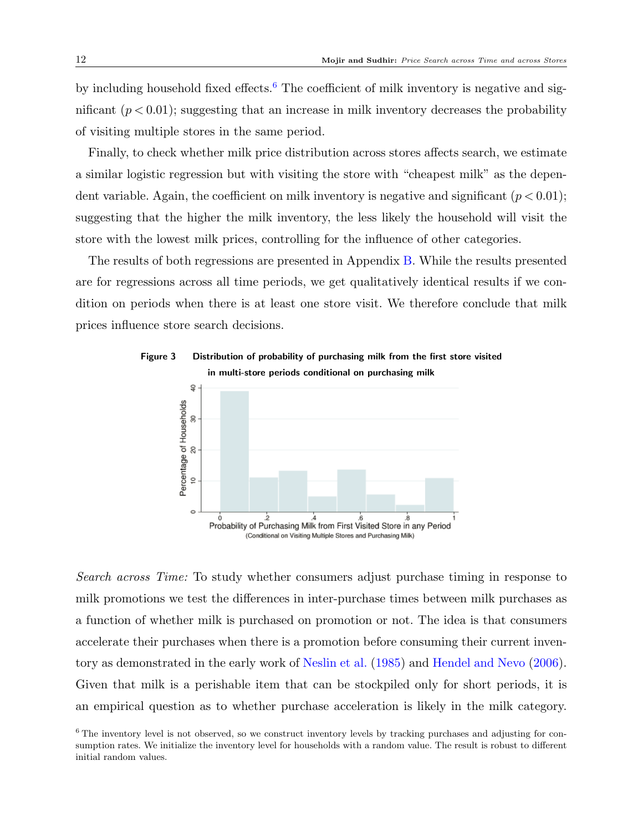by including household fixed effects.<sup>[6](#page-12-1)</sup> The coefficient of milk inventory is negative and significant  $(p < 0.01)$ ; suggesting that an increase in milk inventory decreases the probability of visiting multiple stores in the same period.

Finally, to check whether milk price distribution across stores affects search, we estimate a similar logistic regression but with visiting the store with "cheapest milk" as the dependent variable. Again, the coefficient on milk inventory is negative and significant  $(p < 0.01)$ ; suggesting that the higher the milk inventory, the less likely the household will visit the store with the lowest milk prices, controlling for the influence of other categories.

The results of both regressions are presented in Appendix [B.](#page-7-0) While the results presented are for regressions across all time periods, we get qualitatively identical results if we condition on periods when there is at least one store visit. We therefore conclude that milk prices influence store search decisions.



<span id="page-12-0"></span>Figure 3 Distribution of probability of purchasing milk from the first store visited

Search across Time: To study whether consumers adjust purchase timing in response to milk promotions we test the differences in inter-purchase times between milk purchases as a function of whether milk is purchased on promotion or not. The idea is that consumers accelerate their purchases when there is a promotion before consuming their current inventory as demonstrated in the early work of [Neslin et al.](#page-42-12) [\(1985\)](#page-42-12) and [Hendel and Nevo](#page-41-5) [\(2006\)](#page-41-5). Given that milk is a perishable item that can be stockpiled only for short periods, it is an empirical question as to whether purchase acceleration is likely in the milk category.

<span id="page-12-1"></span><sup>&</sup>lt;sup>6</sup> The inventory level is not observed, so we construct inventory levels by tracking purchases and adjusting for consumption rates. We initialize the inventory level for households with a random value. The result is robust to different initial random values.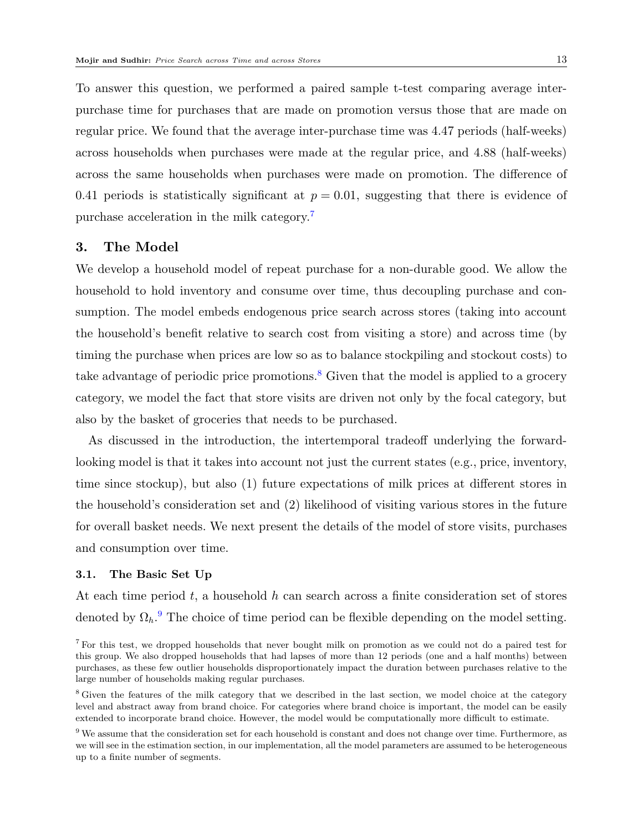To answer this question, we performed a paired sample t-test comparing average interpurchase time for purchases that are made on promotion versus those that are made on regular price. We found that the average inter-purchase time was 4.47 periods (half-weeks) across households when purchases were made at the regular price, and 4.88 (half-weeks) across the same households when purchases were made on promotion. The difference of 0.41 periods is statistically significant at  $p = 0.01$ , suggesting that there is evidence of purchase acceleration in the milk category.[7](#page-13-1)

## <span id="page-13-0"></span>3. The Model

We develop a household model of repeat purchase for a non-durable good. We allow the household to hold inventory and consume over time, thus decoupling purchase and consumption. The model embeds endogenous price search across stores (taking into account the household's benefit relative to search cost from visiting a store) and across time (by timing the purchase when prices are low so as to balance stockpiling and stockout costs) to take advantage of periodic price promotions.<sup>[8](#page-13-2)</sup> Given that the model is applied to a grocery category, we model the fact that store visits are driven not only by the focal category, but also by the basket of groceries that needs to be purchased.

As discussed in the introduction, the intertemporal tradeoff underlying the forwardlooking model is that it takes into account not just the current states (e.g., price, inventory, time since stockup), but also (1) future expectations of milk prices at different stores in the household's consideration set and (2) likelihood of visiting various stores in the future for overall basket needs. We next present the details of the model of store visits, purchases and consumption over time.

#### 3.1. The Basic Set Up

At each time period  $t$ , a household h can search across a finite consideration set of stores denoted by  $\Omega_h$ <sup>[9](#page-13-3)</sup>. The choice of time period can be flexible depending on the model setting.

<span id="page-13-1"></span><sup>7</sup> For this test, we dropped households that never bought milk on promotion as we could not do a paired test for this group. We also dropped households that had lapses of more than 12 periods (one and a half months) between purchases, as these few outlier households disproportionately impact the duration between purchases relative to the large number of households making regular purchases.

<span id="page-13-2"></span><sup>&</sup>lt;sup>8</sup> Given the features of the milk category that we described in the last section, we model choice at the category level and abstract away from brand choice. For categories where brand choice is important, the model can be easily extended to incorporate brand choice. However, the model would be computationally more difficult to estimate.

<span id="page-13-3"></span><sup>9</sup> We assume that the consideration set for each household is constant and does not change over time. Furthermore, as we will see in the estimation section, in our implementation, all the model parameters are assumed to be heterogeneous up to a finite number of segments.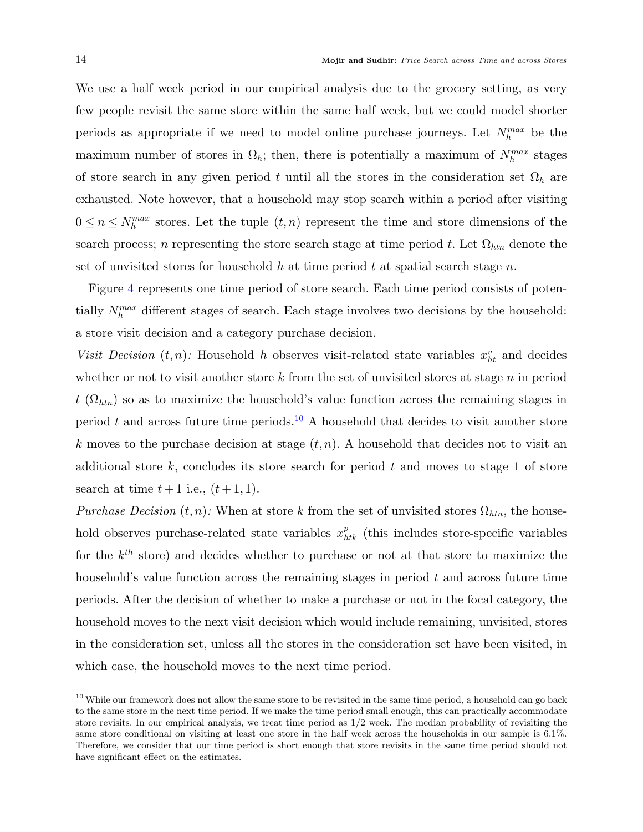We use a half week period in our empirical analysis due to the grocery setting, as very few people revisit the same store within the same half week, but we could model shorter periods as appropriate if we need to model online purchase journeys. Let  $N_h^{max}$  be the maximum number of stores in  $\Omega_h$ ; then, there is potentially a maximum of  $N_h^{max}$  stages of store search in any given period t until all the stores in the consideration set  $\Omega_h$  are exhausted. Note however, that a household may stop search within a period after visiting  $0 \leq n \leq N_h^{max}$  stores. Let the tuple  $(t, n)$  represent the time and store dimensions of the search process; n representing the store search stage at time period t. Let  $\Omega_{\text{htn}}$  denote the set of unvisited stores for household h at time period t at spatial search stage n.

Figure [4](#page-15-0) represents one time period of store search. Each time period consists of potentially  $N_h^{max}$  different stages of search. Each stage involves two decisions by the household: a store visit decision and a category purchase decision.

Visit Decision  $(t, n)$ : Household h observes visit-related state variables  $x_{ht}^v$  and decides whether or not to visit another store  $k$  from the set of unvisited stores at stage  $n$  in period  $t(\Omega_{htn})$  so as to maximize the household's value function across the remaining stages in period t and across future time periods.<sup>[10](#page-14-0)</sup> A household that decides to visit another store k moves to the purchase decision at stage  $(t, n)$ . A household that decides not to visit an additional store  $k$ , concludes its store search for period  $t$  and moves to stage 1 of store search at time  $t+1$  i.e.,  $(t+1,1)$ .

*Purchase Decision*  $(t, n)$ : When at store k from the set of unvisited stores  $\Omega_{\text{htn}}$ , the household observes purchase-related state variables  $x_{htk}^p$  (this includes store-specific variables for the  $k^{th}$  store) and decides whether to purchase or not at that store to maximize the household's value function across the remaining stages in period  $t$  and across future time periods. After the decision of whether to make a purchase or not in the focal category, the household moves to the next visit decision which would include remaining, unvisited, stores in the consideration set, unless all the stores in the consideration set have been visited, in which case, the household moves to the next time period.

<span id="page-14-0"></span> $10$  While our framework does not allow the same store to be revisited in the same time period, a household can go back to the same store in the next time period. If we make the time period small enough, this can practically accommodate store revisits. In our empirical analysis, we treat time period as  $1/2$  week. The median probability of revisiting the same store conditional on visiting at least one store in the half week across the households in our sample is 6.1%. Therefore, we consider that our time period is short enough that store revisits in the same time period should not have significant effect on the estimates.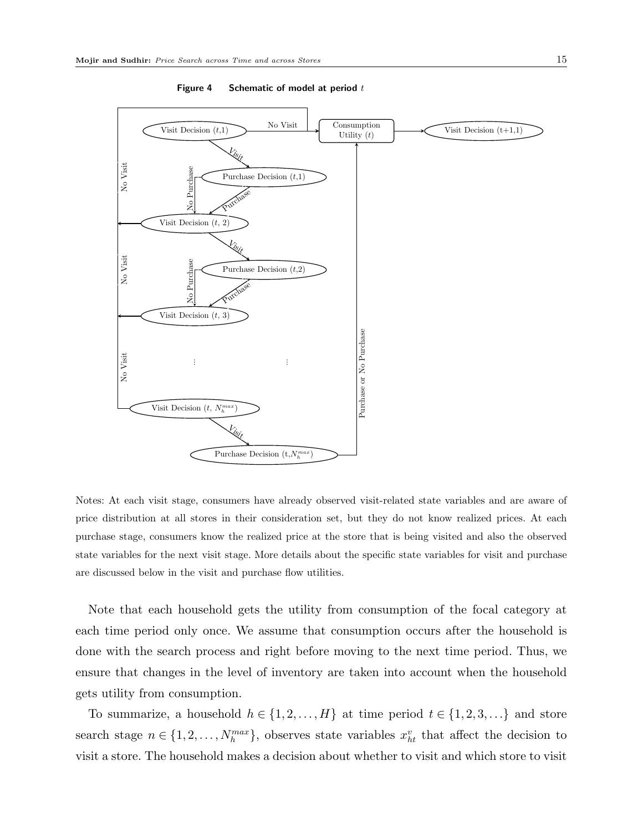<span id="page-15-0"></span>

Figure 4 Schematic of model at period  $t$ 

Notes: At each visit stage, consumers have already observed visit-related state variables and are aware of price distribution at all stores in their consideration set, but they do not know realized prices. At each purchase stage, consumers know the realized price at the store that is being visited and also the observed state variables for the next visit stage. More details about the specific state variables for visit and purchase are discussed below in the visit and purchase flow utilities.

Note that each household gets the utility from consumption of the focal category at each time period only once. We assume that consumption occurs after the household is done with the search process and right before moving to the next time period. Thus, we ensure that changes in the level of inventory are taken into account when the household gets utility from consumption.

To summarize, a household  $h \in \{1, 2, ..., H\}$  at time period  $t \in \{1, 2, 3, ...\}$  and store search stage  $n \in \{1, 2, ..., N_h^{max}\}\$ , observes state variables  $x_{ht}^v$  that affect the decision to visit a store. The household makes a decision about whether to visit and which store to visit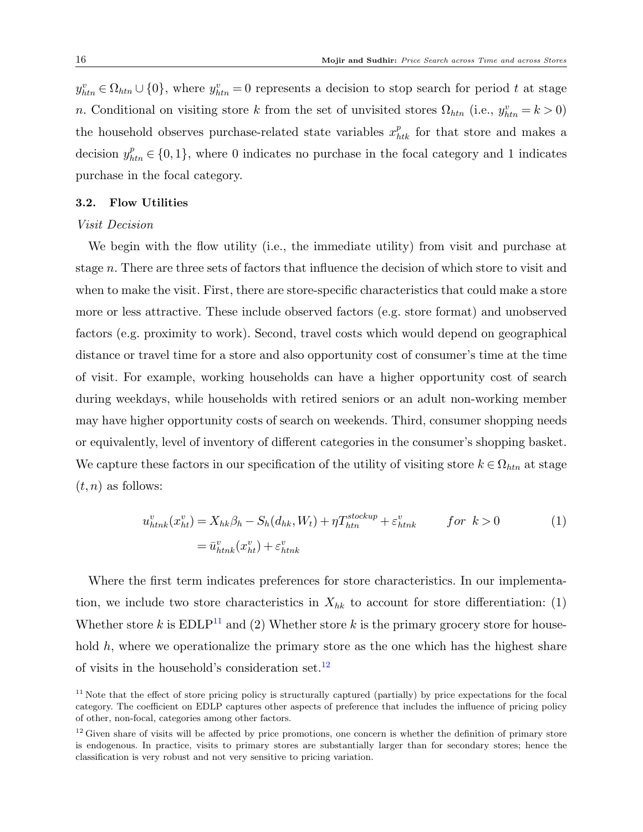$y_{htn}^v \in \Omega_{htn} \cup \{0\}$ , where  $y_{htn}^v = 0$  represents a decision to stop search for period t at stage n. Conditional on visiting store k from the set of unvisited stores  $\Omega_{htn}$  (i.e.,  $y_{htn}^v = k > 0$ ) the household observes purchase-related state variables  $x_{htk}^p$  for that store and makes a decision  $y_{\text{htn}}^p \in \{0,1\}$ , where 0 indicates no purchase in the focal category and 1 indicates purchase in the focal category.

#### 3.2. Flow Utilities

#### Visit Decision

We begin with the flow utility (i.e., the immediate utility) from visit and purchase at stage n. There are three sets of factors that influence the decision of which store to visit and when to make the visit. First, there are store-specific characteristics that could make a store more or less attractive. These include observed factors (e.g. store format) and unobserved factors (e.g. proximity to work). Second, travel costs which would depend on geographical distance or travel time for a store and also opportunity cost of consumer's time at the time of visit. For example, working households can have a higher opportunity cost of search during weekdays, while households with retired seniors or an adult non-working member may have higher opportunity costs of search on weekends. Third, consumer shopping needs or equivalently, level of inventory of different categories in the consumer's shopping basket. We capture these factors in our specification of the utility of visiting store  $k \in \Omega_{htn}$  at stage  $(t, n)$  as follows:

$$
u_{htnk}^v(x_{ht}^v) = X_{hk}\beta_h - S_h(d_{hk}, W_t) + \eta T_{htn}^{stockup} + \varepsilon_{htnk}^v \qquad for \ k > 0
$$
  

$$
= \bar{u}_{htnk}^v(x_{ht}^v) + \varepsilon_{htnk}^v \qquad (1)
$$

Where the first term indicates preferences for store characteristics. In our implementation, we include two store characteristics in  $X_{hk}$  to account for store differentiation: (1) Whether store k is  $EDLP<sup>11</sup>$  $EDLP<sup>11</sup>$  $EDLP<sup>11</sup>$  and (2) Whether store k is the primary grocery store for household  $h$ , where we operationalize the primary store as the one which has the highest share of visits in the household's consideration set. $^{12}$  $^{12}$  $^{12}$ 

<span id="page-16-0"></span> $11$  Note that the effect of store pricing policy is structurally captured (partially) by price expectations for the focal category. The coefficient on EDLP captures other aspects of preference that includes the influence of pricing policy of other, non-focal, categories among other factors.

<span id="page-16-1"></span> $12$  Given share of visits will be affected by price promotions, one concern is whether the definition of primary store is endogenous. In practice, visits to primary stores are substantially larger than for secondary stores; hence the classification is very robust and not very sensitive to pricing variation.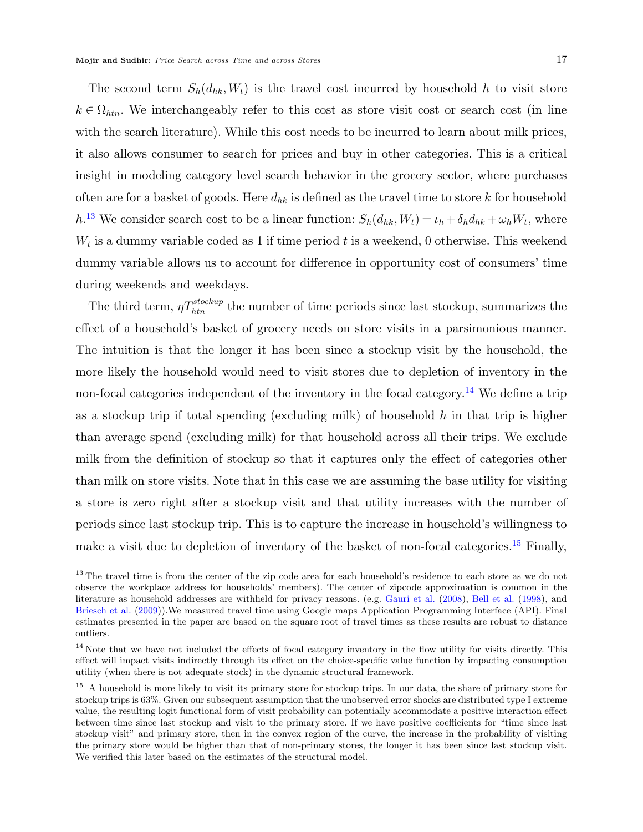The second term  $S_h(d_{hk},W_t)$  is the travel cost incurred by household h to visit store  $k \in \Omega_{\text{htn}}$ . We interchangeably refer to this cost as store visit cost or search cost (in line with the search literature). While this cost needs to be incurred to learn about milk prices, it also allows consumer to search for prices and buy in other categories. This is a critical insight in modeling category level search behavior in the grocery sector, where purchases often are for a basket of goods. Here  $d_{hk}$  is defined as the travel time to store k for household h.<sup>[13](#page-17-0)</sup> We consider search cost to be a linear function:  $S_h(d_{hk}, W_t) = \iota_h + \delta_h d_{hk} + \omega_h W_t$ , where  $W_t$  is a dummy variable coded as 1 if time period t is a weekend, 0 otherwise. This weekend dummy variable allows us to account for difference in opportunity cost of consumers' time during weekends and weekdays.

The third term,  $\eta T_{\text{ht}n}^{stockup}$  the number of time periods since last stockup, summarizes the effect of a household's basket of grocery needs on store visits in a parsimonious manner. The intuition is that the longer it has been since a stockup visit by the household, the more likely the household would need to visit stores due to depletion of inventory in the non-focal categories independent of the inventory in the focal category.<sup>[14](#page-17-1)</sup> We define a trip as a stockup trip if total spending (excluding milk) of household  $h$  in that trip is higher than average spend (excluding milk) for that household across all their trips. We exclude milk from the definition of stockup so that it captures only the effect of categories other than milk on store visits. Note that in this case we are assuming the base utility for visiting a store is zero right after a stockup visit and that utility increases with the number of periods since last stockup trip. This is to capture the increase in household's willingness to make a visit due to depletion of inventory of the basket of non-focal categories.<sup>[15](#page-17-2)</sup> Finally,

<span id="page-17-0"></span><sup>&</sup>lt;sup>13</sup> The travel time is from the center of the zip code area for each household's residence to each store as we do not observe the workplace address for households' members). The center of zipcode approximation is common in the literature as household addresses are withheld for privacy reasons. (e.g. [Gauri et al.](#page-41-0) [\(2008\)](#page-41-0), [Bell et al.](#page-41-8) [\(1998\)](#page-41-8), and [Briesch et al.](#page-41-12) [\(2009\)](#page-41-12)).We measured travel time using Google maps Application Programming Interface (API). Final estimates presented in the paper are based on the square root of travel times as these results are robust to distance outliers.

<span id="page-17-1"></span><sup>&</sup>lt;sup>14</sup> Note that we have not included the effects of focal category inventory in the flow utility for visits directly. This effect will impact visits indirectly through its effect on the choice-specific value function by impacting consumption utility (when there is not adequate stock) in the dynamic structural framework.

<span id="page-17-2"></span><sup>&</sup>lt;sup>15</sup> A household is more likely to visit its primary store for stockup trips. In our data, the share of primary store for stockup trips is 63%. Given our subsequent assumption that the unobserved error shocks are distributed type I extreme value, the resulting logit functional form of visit probability can potentially accommodate a positive interaction effect between time since last stockup and visit to the primary store. If we have positive coefficients for "time since last stockup visit" and primary store, then in the convex region of the curve, the increase in the probability of visiting the primary store would be higher than that of non-primary stores, the longer it has been since last stockup visit. We verified this later based on the estimates of the structural model.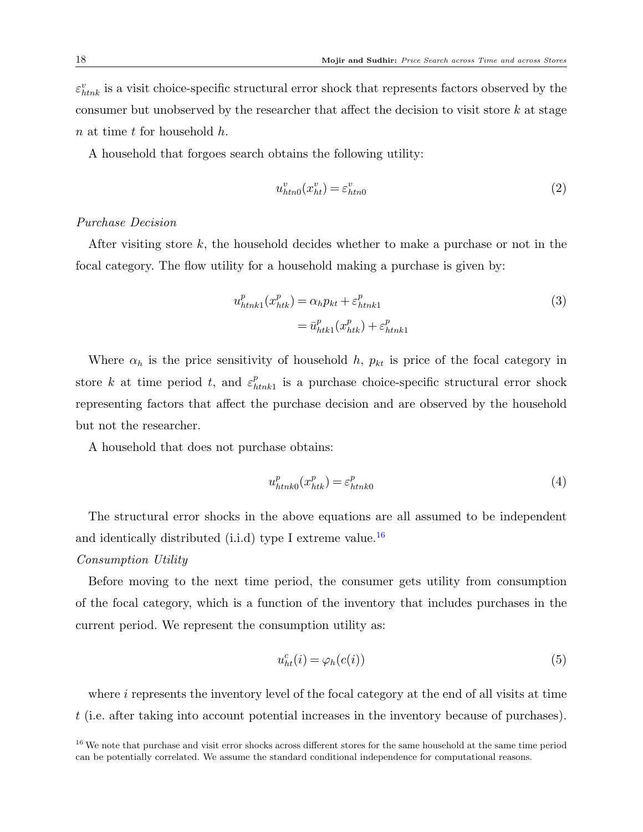$\varepsilon_{htnk}^{v}$  is a visit choice-specific structural error shock that represents factors observed by the consumer but unobserved by the researcher that affect the decision to visit store  $k$  at stage  $n$  at time  $t$  for household  $h$ .

A household that forgoes search obtains the following utility:

<span id="page-18-1"></span>
$$
u_{htn0}^v(x_{ht}^v) = \varepsilon_{htn0}^v \tag{2}
$$

#### Purchase Decision

After visiting store  $k$ , the household decides whether to make a purchase or not in the focal category. The flow utility for a household making a purchase is given by:

$$
u_{htnk1}^p(x_{htk}^p) = \alpha_h p_{kt} + \varepsilon_{htnk1}^p
$$
  
=  $\bar{u}_{htk1}^p(x_{htk}^p) + \varepsilon_{htnk1}^p$  (3)

Where  $\alpha_h$  is the price sensitivity of household h,  $p_{kt}$  is price of the focal category in store k at time period t, and  $\varepsilon_h^p$  $_{\text{think1}}^p$  is a purchase choice-specific structural error shock representing factors that affect the purchase decision and are observed by the household but not the researcher.

A household that does not purchase obtains:

$$
u_{htnko}^p(x_{htk}^p) = \varepsilon_{htnko}^p \tag{4}
$$

The structural error shocks in the above equations are all assumed to be independent and identically distributed (i.i.d) type I extreme value.<sup>[16](#page-18-0)</sup>

#### Consumption Utility

Before moving to the next time period, the consumer gets utility from consumption of the focal category, which is a function of the inventory that includes purchases in the current period. We represent the consumption utility as:

<span id="page-18-2"></span>
$$
u_{ht}^c(i) = \varphi_h(c(i))\tag{5}
$$

where  $i$  represents the inventory level of the focal category at the end of all visits at time t (i.e. after taking into account potential increases in the inventory because of purchases).

<span id="page-18-0"></span><sup>&</sup>lt;sup>16</sup> We note that purchase and visit error shocks across different stores for the same household at the same time period can be potentially correlated. We assume the standard conditional independence for computational reasons.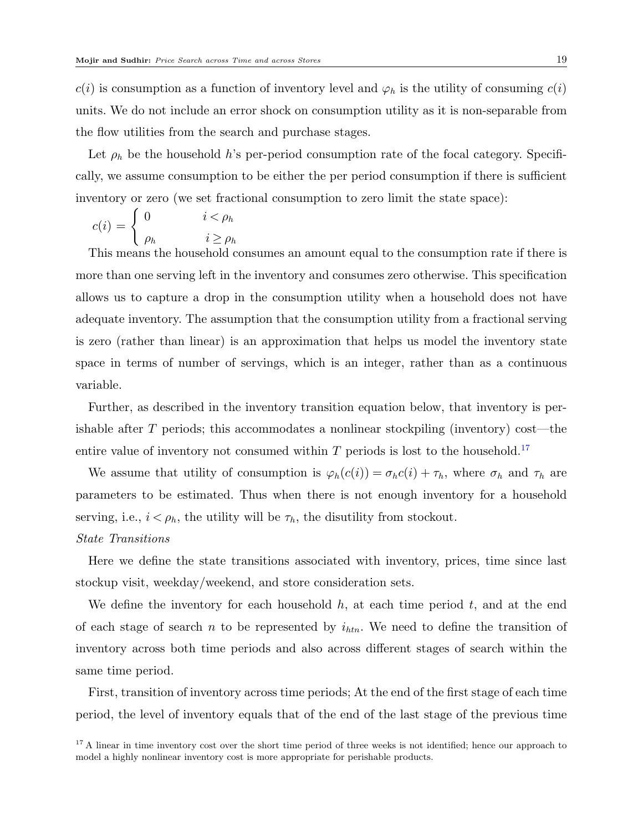$c(i)$  is consumption as a function of inventory level and  $\varphi_h$  is the utility of consuming  $c(i)$ units. We do not include an error shock on consumption utility as it is non-separable from the flow utilities from the search and purchase stages.

Let  $\rho_h$  be the household h's per-period consumption rate of the focal category. Specifically, we assume consumption to be either the per period consumption if there is sufficient inventory or zero (we set fractional consumption to zero limit the state space):

$$
c(i) = \begin{cases} 0 & i < \rho_h \\ \rho_h & i \ge \rho_h \end{cases}
$$

This means the household consumes an amount equal to the consumption rate if there is more than one serving left in the inventory and consumes zero otherwise. This specification allows us to capture a drop in the consumption utility when a household does not have adequate inventory. The assumption that the consumption utility from a fractional serving is zero (rather than linear) is an approximation that helps us model the inventory state space in terms of number of servings, which is an integer, rather than as a continuous variable.

Further, as described in the inventory transition equation below, that inventory is perishable after  $T$  periods; this accommodates a nonlinear stockpiling (inventory) cost—the entire value of inventory not consumed within  $T$  periods is lost to the household.<sup>[17](#page-19-0)</sup>

We assume that utility of consumption is  $\varphi_h(c(i)) = \sigma_h c(i) + \tau_h$ , where  $\sigma_h$  and  $\tau_h$  are parameters to be estimated. Thus when there is not enough inventory for a household serving, i.e.,  $i < \rho_h$ , the utility will be  $\tau_h$ , the disutility from stockout.

## State Transitions

Here we define the state transitions associated with inventory, prices, time since last stockup visit, weekday/weekend, and store consideration sets.

We define the inventory for each household  $h$ , at each time period  $t$ , and at the end of each stage of search n to be represented by  $i_{htn}$ . We need to define the transition of inventory across both time periods and also across different stages of search within the same time period.

First, transition of inventory across time periods; At the end of the first stage of each time period, the level of inventory equals that of the end of the last stage of the previous time

<span id="page-19-0"></span><sup>17</sup> A linear in time inventory cost over the short time period of three weeks is not identified; hence our approach to model a highly nonlinear inventory cost is more appropriate for perishable products.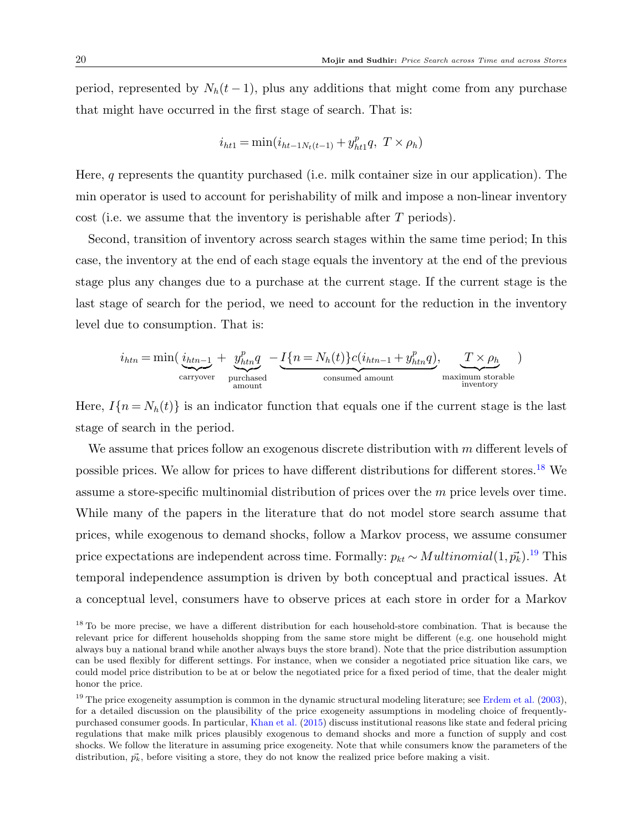period, represented by  $N_h(t-1)$ , plus any additions that might come from any purchase that might have occurred in the first stage of search. That is:

$$
i_{ht1} = \min(i_{ht-1N_t(t-1)} + y_{ht1}^p q, T \times \rho_h)
$$

Here, q represents the quantity purchased (i.e. milk container size in our application). The min operator is used to account for perishability of milk and impose a non-linear inventory cost (i.e. we assume that the inventory is perishable after T periods).

Second, transition of inventory across search stages within the same time period; In this case, the inventory at the end of each stage equals the inventory at the end of the previous stage plus any changes due to a purchase at the current stage. If the current stage is the last stage of search for the period, we need to account for the reduction in the inventory level due to consumption. That is:

$$
i_{htn} = \min(\underbrace{i_{htn-1}}_{\text{carryover}} + \underbrace{y_{htn}^p q}_{\text{purchased}} - \underbrace{I\{n = N_h(t)\} c(i_{htn-1} + y_{htn}^p q)}_{\text{consumed amount}}, \underbrace{T \times \rho_h}_{\text{maximum storable}})
$$

Here,  $I\{n = N_h(t)\}\$ is an indicator function that equals one if the current stage is the last stage of search in the period.

We assume that prices follow an exogenous discrete distribution with m different levels of possible prices. We allow for prices to have different distributions for different stores.[18](#page-20-0) We assume a store-specific multinomial distribution of prices over the m price levels over time. While many of the papers in the literature that do not model store search assume that prices, while exogenous to demand shocks, follow a Markov process, we assume consumer price expectations are independent across time. Formally:  $p_{kt} \sim Multinomial(1, \vec{p_k})$ .<sup>[19](#page-20-1)</sup> This temporal independence assumption is driven by both conceptual and practical issues. At a conceptual level, consumers have to observe prices at each store in order for a Markov

<span id="page-20-0"></span><sup>&</sup>lt;sup>18</sup> To be more precise, we have a different distribution for each household-store combination. That is because the relevant price for different households shopping from the same store might be different (e.g. one household might always buy a national brand while another always buys the store brand). Note that the price distribution assumption can be used flexibly for different settings. For instance, when we consider a negotiated price situation like cars, we could model price distribution to be at or below the negotiated price for a fixed period of time, that the dealer might honor the price.

<span id="page-20-1"></span> $19$  The price exogeneity assumption is common in the dynamic structural modeling literature; see [Erdem et al.](#page-41-4) [\(2003\)](#page-41-4), for a detailed discussion on the plausibility of the price exogeneity assumptions in modeling choice of frequentlypurchased consumer goods. In particular, [Khan et al.](#page-42-16) [\(2015\)](#page-42-16) discuss institutional reasons like state and federal pricing regulations that make milk prices plausibly exogenous to demand shocks and more a function of supply and cost shocks. We follow the literature in assuming price exogeneity. Note that while consumers know the parameters of the distribution,  $\vec{p}_k$ , before visiting a store, they do not know the realized price before making a visit.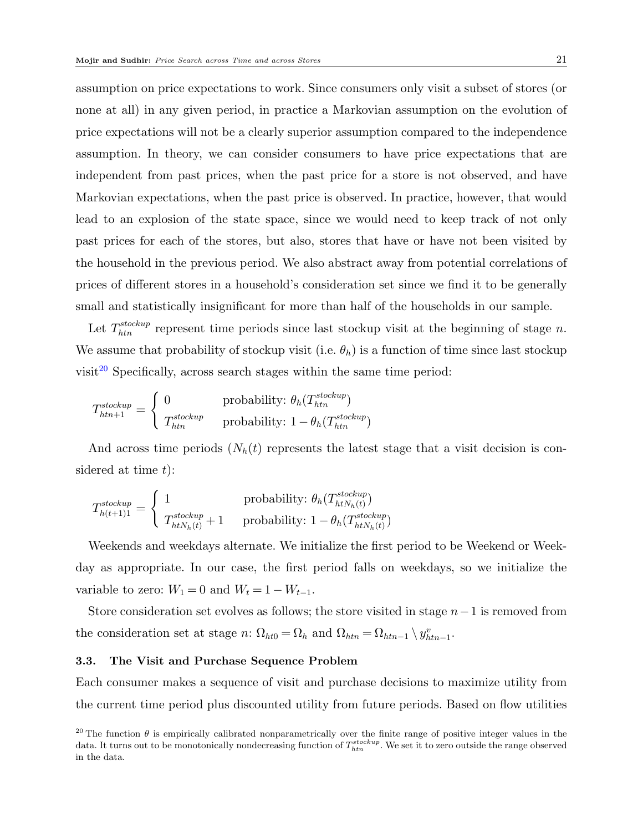assumption on price expectations to work. Since consumers only visit a subset of stores (or none at all) in any given period, in practice a Markovian assumption on the evolution of price expectations will not be a clearly superior assumption compared to the independence assumption. In theory, we can consider consumers to have price expectations that are independent from past prices, when the past price for a store is not observed, and have Markovian expectations, when the past price is observed. In practice, however, that would lead to an explosion of the state space, since we would need to keep track of not only past prices for each of the stores, but also, stores that have or have not been visited by the household in the previous period. We also abstract away from potential correlations of prices of different stores in a household's consideration set since we find it to be generally small and statistically insignificant for more than half of the households in our sample.

Let  $T_{\text{min}}^{\text{stockup}}$  represent time periods since last stockup visit at the beginning of stage n. We assume that probability of stockup visit (i.e.  $\theta_h$ ) is a function of time since last stockup visit<sup>[20](#page-21-0)</sup> Specifically, across search stages within the same time period:

$$
T_{htn+1}^{stockup} = \begin{cases} 0 & \text{probability: } \theta_h(T_{htn}^{stockup}) \\ T_{htn}^{stockup} & \text{probability: } 1 - \theta_h(T_{htn}^{stockup}) \end{cases}
$$

And across time periods  $(N_h(t))$  represents the latest stage that a visit decision is considered at time  $t$ :

$$
T_{h(t+1)1}^{stockup} = \begin{cases} 1 & \text{probability: } \theta_h(T_{h t N_h(t)}^{stockup}) \\ T_{h t N_h(t)}^{stockup} + 1 & \text{probability: } 1 - \theta_h(T_{h t N_h(t)}^{stockup}) \end{cases}
$$

Weekends and weekdays alternate. We initialize the first period to be Weekend or Weekday as appropriate. In our case, the first period falls on weekdays, so we initialize the variable to zero:  $W_1 = 0$  and  $W_t = 1 - W_{t-1}$ .

Store consideration set evolves as follows; the store visited in stage  $n-1$  is removed from the consideration set at stage  $n: \Omega_{ht0} = \Omega_h$  and  $\Omega_{htn} = \Omega_{htn-1} \setminus y_{htn-1}^v$ .

#### 3.3. The Visit and Purchase Sequence Problem

Each consumer makes a sequence of visit and purchase decisions to maximize utility from the current time period plus discounted utility from future periods. Based on flow utilities

<span id="page-21-0"></span><sup>&</sup>lt;sup>20</sup> The function  $\theta$  is empirically calibrated nonparametrically over the finite range of positive integer values in the data. It turns out to be monotonically nondecreasing function of  $T_{htn}^{stockup}$ . We set it to zero outside the range observed in the data.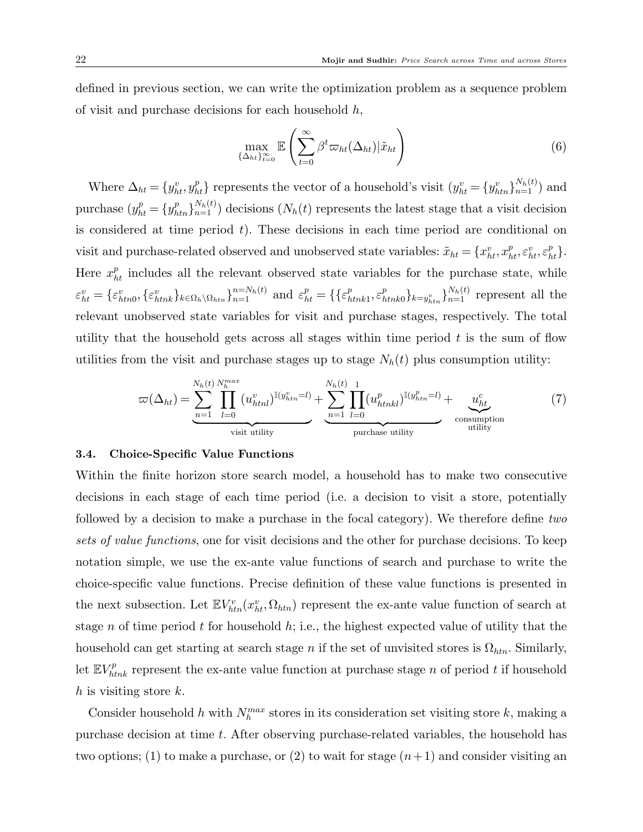defined in previous section, we can write the optimization problem as a sequence problem of visit and purchase decisions for each household  $h$ ,

$$
\max_{\{\Delta_{ht}\}_{t=0}^{\infty}} \mathbb{E}\left(\sum_{t=0}^{\infty} \beta^t \varpi_{ht}(\Delta_{ht}) | \tilde{x}_{ht}\right) \tag{6}
$$

Where  $\Delta_{ht} = \{y_{ht}^v, y_{ht}^p\}$  represents the vector of a household's visit  $(y_{ht}^v = \{y_{htn}^v\}_{n=1}^{N_h(t)})$  and purchase  $(y_{ht}^p = \{y_{htn}^p\}_{n=1}^{N_h(t)})$  decisions  $(N_h(t)$  represents the latest stage that a visit decision is considered at time period  $t$ ). These decisions in each time period are conditional on visit and purchase-related observed and unobserved state variables:  $\tilde{x}_{ht} = \{x_{ht}^v, x_{ht}^p, \varepsilon_{ht}^v, \varepsilon_{ht}^p\}.$ Here  $x_{ht}^p$  includes all the relevant observed state variables for the purchase state, while  $\varepsilon_{ht}^v = \{ \varepsilon_{htn0}^v, \{ \varepsilon_{htnk}^v \}_{k \in \Omega_h \setminus \Omega_{htn}} \}_{n=1}^{n=N_h(t)} \text{ and } \varepsilon_{ht}^p = \{ \{ \varepsilon_h^p \}_{k \in \Omega_h} \}_{n=1}^{n}$  $_{htnk1}^{p},\varepsilon _{h}^{p}$  ${}_{htnk0}^{p}$ } ${}_{k=y_{htn}^v}$  ${}_{h}^{N_h(t)}$  represent all the relevant unobserved state variables for visit and purchase stages, respectively. The total utility that the household gets across all stages within time period  $t$  is the sum of flow utilities from the visit and purchase stages up to stage  $N_h(t)$  plus consumption utility:

$$
\varpi(\Delta_{ht}) = \underbrace{\sum_{n=1}^{N_h(t)} \prod_{l=0}^{N_n^{max}} (u_{hth}^v)^{\mathbb{I}(y_{hth}^v = l)} + \underbrace{\sum_{n=1}^{N_h(t)} \prod_{l=0}^{1} (u_{hthkl}^p)^{\mathbb{I}(y_{hth}^p = l)} + \underbrace{u_{ht}^c}_{\text{consumption}}}{\text{vistik}} \tag{7}
$$

#### 3.4. Choice-Specific Value Functions

Within the finite horizon store search model, a household has to make two consecutive decisions in each stage of each time period (i.e. a decision to visit a store, potentially followed by a decision to make a purchase in the focal category). We therefore define two sets of value functions, one for visit decisions and the other for purchase decisions. To keep notation simple, we use the ex-ante value functions of search and purchase to write the choice-specific value functions. Precise definition of these value functions is presented in the next subsection. Let  $\mathbb{E} V_{htn}^v(x_{ht}^v, \Omega_{htn})$  represent the ex-ante value function of search at stage n of time period t for household  $h$ ; i.e., the highest expected value of utility that the household can get starting at search stage n if the set of unvisited stores is  $\Omega_{\text{htn}}$ . Similarly, let  $\mathbb{E} V_{htnk}^p$  represent the ex-ante value function at purchase stage n of period t if household  $h$  is visiting store  $k$ .

Consider household h with  $N_h^{max}$  stores in its consideration set visiting store k, making a purchase decision at time t. After observing purchase-related variables, the household has two options; (1) to make a purchase, or (2) to wait for stage  $(n+1)$  and consider visiting an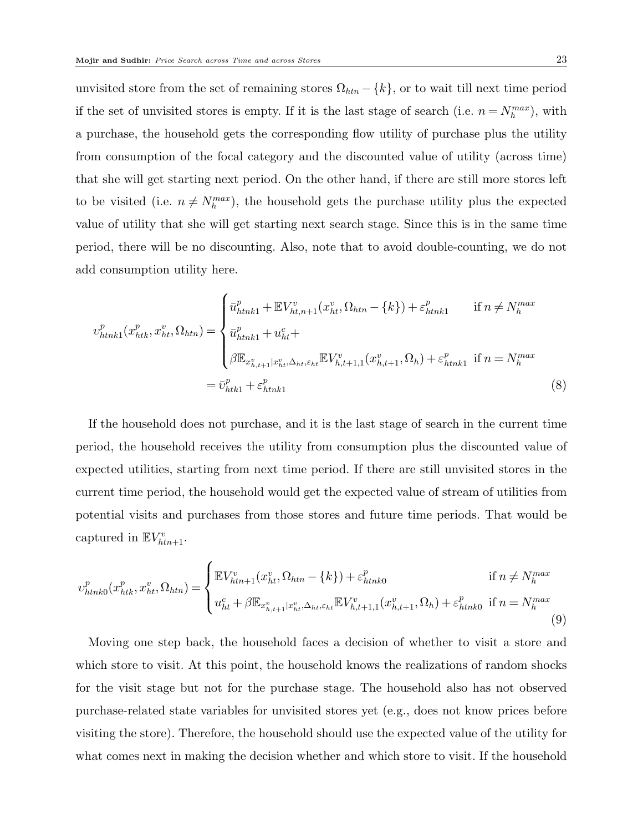unvisited store from the set of remaining stores  $\Omega_{htn} - \{k\}$ , or to wait till next time period if the set of unvisited stores is empty. If it is the last stage of search (i.e.  $n = N_h^{max}$ ), with a purchase, the household gets the corresponding flow utility of purchase plus the utility from consumption of the focal category and the discounted value of utility (across time) that she will get starting next period. On the other hand, if there are still more stores left to be visited (i.e.  $n \neq N_h^{max}$ ), the household gets the purchase utility plus the expected value of utility that she will get starting next search stage. Since this is in the same time period, there will be no discounting. Also, note that to avoid double-counting, we do not add consumption utility here.

$$
v_{htnk1}^{p}(x_{htk}^{p}, x_{ht}^{v}, \Omega_{htn}) = \begin{cases} \bar{u}_{htnk1}^{p} + \mathbb{E}V_{ht,n+1}^{v}(x_{ht}^{v}, \Omega_{htn} - \{k\}) + \varepsilon_{htnk1}^{p} & \text{if } n \neq N_{h}^{max} \\ \bar{u}_{htnk1}^{p} + u_{ht}^{c} + \\ \beta \mathbb{E}_{x_{h,t+1}^{v}|x_{ht}^{v}, \Delta_{ht}, \varepsilon_{ht}} \mathbb{E}V_{h,t+1,1}^{v}(x_{h,t+1}^{v}, \Omega_{h}) + \varepsilon_{htnk1}^{p} & \text{if } n = N_{h}^{max} \\ \end{cases}
$$

$$
= \bar{v}_{htk1}^{p} + \varepsilon_{htnk1}^{p}
$$
(8)

If the household does not purchase, and it is the last stage of search in the current time period, the household receives the utility from consumption plus the discounted value of expected utilities, starting from next time period. If there are still unvisited stores in the current time period, the household would get the expected value of stream of utilities from potential visits and purchases from those stores and future time periods. That would be captured in  $\mathbb{E} V_{htn+1}^v$ .

$$
v_{htnk0}^{p}(x_{htk}^{p}, x_{ht}^{v}, \Omega_{htn}) = \begin{cases} \mathbb{E}V_{htn+1}^{v}(x_{ht}^{v}, \Omega_{htn} - \{k\}) + \varepsilon_{htnk0}^{p} & \text{if } n \neq N_{h}^{max} \\ u_{ht}^{c} + \beta \mathbb{E}_{x_{h,t+1}^{v}|x_{ht}^{v}, \Delta_{ht}, \varepsilon_{ht}} \mathbb{E}V_{h,t+1,1}^{v}(x_{h,t+1}^{v}, \Omega_{h}) + \varepsilon_{htnk0}^{p} & \text{if } n = N_{h}^{max} \end{cases}
$$
(9)

Moving one step back, the household faces a decision of whether to visit a store and which store to visit. At this point, the household knows the realizations of random shocks for the visit stage but not for the purchase stage. The household also has not observed purchase-related state variables for unvisited stores yet (e.g., does not know prices before visiting the store). Therefore, the household should use the expected value of the utility for what comes next in making the decision whether and which store to visit. If the household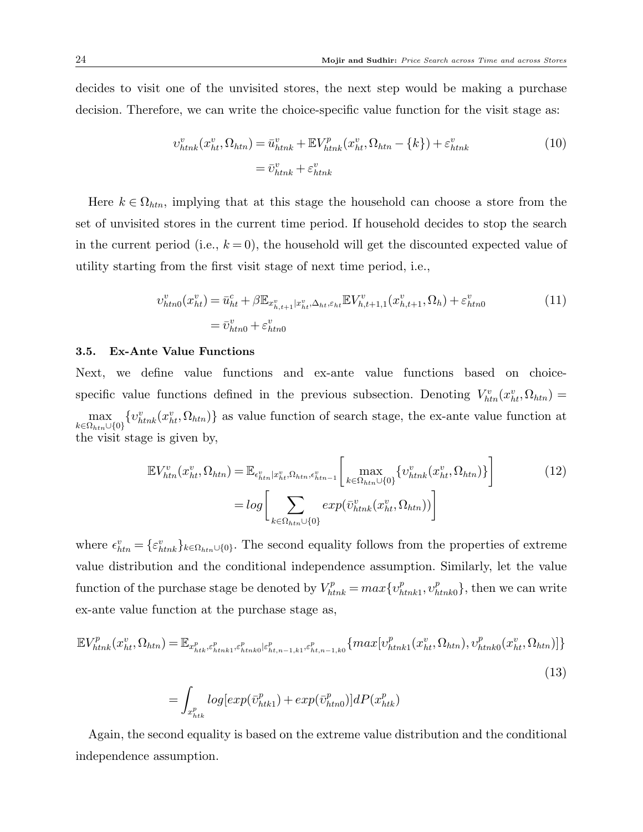decides to visit one of the unvisited stores, the next step would be making a purchase decision. Therefore, we can write the choice-specific value function for the visit stage as:

$$
v_{htnk}^v(x_{ht}^v, \Omega_{htn}) = \bar{u}_{htnk}^v + \mathbb{E}V_{htnk}^p(x_{ht}^v, \Omega_{htn} - \{k\}) + \varepsilon_{htnk}^v
$$
  

$$
= \bar{v}_{htnk}^v + \varepsilon_{htnk}^v
$$
 (10)

Here  $k \in \Omega_{htn}$ , implying that at this stage the household can choose a store from the set of unvisited stores in the current time period. If household decides to stop the search in the current period (i.e.,  $k = 0$ ), the household will get the discounted expected value of utility starting from the first visit stage of next time period, i.e.,

$$
v_{htn0}^{v}(x_{ht}^{v}) = \bar{u}_{ht}^{c} + \beta \mathbb{E}_{x_{h,t+1}^{v}|x_{ht}^{v}, \Delta_{ht}, \varepsilon_{ht}} \mathbb{E} V_{h,t+1,1}^{v}(x_{h,t+1}^{v}, \Omega_{h}) + \varepsilon_{htn0}^{v}
$$
\n
$$
= \bar{v}_{htn0}^{v} + \varepsilon_{htn0}^{v}
$$
\n(11)

#### 3.5. Ex-Ante Value Functions

Next, we define value functions and ex-ante value functions based on choicespecific value functions defined in the previous subsection. Denoting  $V_{htn}^v(x_{ht}^v, \Omega_{htn}) =$ max  $k \in \Omega_{htn} \cup \{0\}$  $\{v_{\text{thnk}}^v(x_{\text{ht}}^v, \Omega_{\text{htn}})\}\$ as value function of search stage, the ex-ante value function at the visit stage is given by,

$$
\mathbb{E}V_{htn}^{v}(x_{ht}^{v},\Omega_{htn}) = \mathbb{E}_{\epsilon_{htn}^{v}|x_{ht}^{v},\Omega_{htn},\epsilon_{htn-1}^{v}}\left[\max_{k \in \Omega_{htn} \cup \{0\}} \{v_{htnk}^{v}(x_{ht}^{v},\Omega_{htn})\}\right]
$$
\n
$$
= \log \left[\sum_{k \in \Omega_{htn} \cup \{0\}} \exp(\bar{v}_{htnk}^{v}(x_{ht}^{v},\Omega_{htn}))\right]
$$
\n(12)

where  $\epsilon_{\text{htn}}^v = \{\epsilon_{\text{htnk}}^v\}_{k \in \Omega_{\text{htn}} \cup \{0\}}$ . The second equality follows from the properties of extreme value distribution and the conditional independence assumption. Similarly, let the value function of the purchase stage be denoted by  $V_{htnk}^p = max\{v_h^p\}$  $_{htnk1}^{p},v_{h}^{p}$  $_{\text{htnk0}}^p$ , then we can write ex-ante value function at the purchase stage as,

$$
\mathbb{E}V_{htnk}^{p}(x_{ht}^{v},\Omega_{htn}) = \mathbb{E}_{x_{htk}^{p},\varepsilon_{htnk1}^{p},\varepsilon_{htnk0}^{p}|\varepsilon_{ht,n-1,k1}^{p},\varepsilon_{ht,n-1,k0}^{p}}^{\tilde{p}}\{max[v_{htnk1}^{p}(x_{ht}^{v},\Omega_{htn}),v_{htnk0}^{p}(x_{ht}^{v},\Omega_{htn})]\}
$$
\n
$$
= \int_{x_{htk}^{p}} log(exp(\bar{v}_{htk1}^{p}) + exp(\bar{v}_{htn0}^{p})]dP(x_{htk}^{p})
$$
\n(13)

Again, the second equality is based on the extreme value distribution and the conditional independence assumption.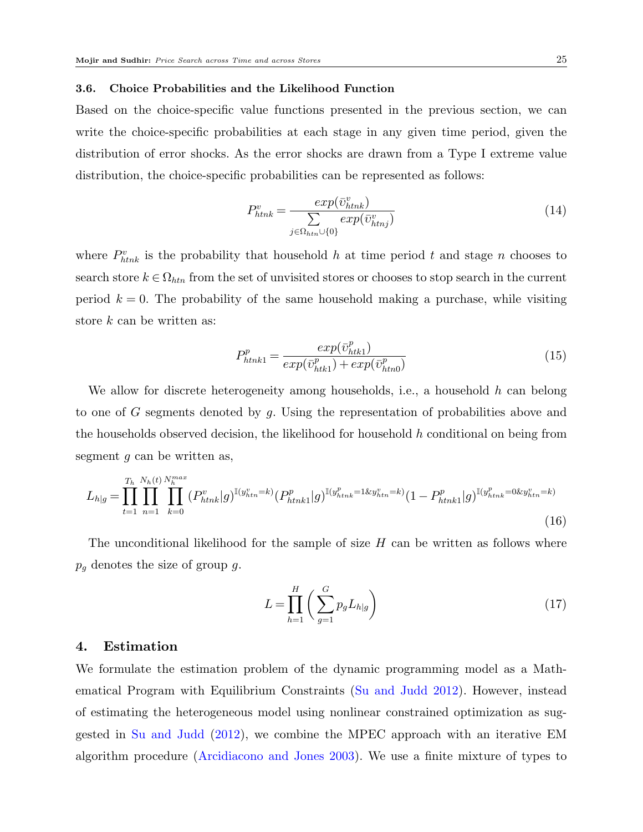#### 3.6. Choice Probabilities and the Likelihood Function

Based on the choice-specific value functions presented in the previous section, we can write the choice-specific probabilities at each stage in any given time period, given the distribution of error shocks. As the error shocks are drawn from a Type I extreme value distribution, the choice-specific probabilities can be represented as follows:

$$
P_{htnk}^{v} = \frac{exp(\bar{v}_{htnk}^{v})}{\sum_{j \in \Omega_{htn} \cup \{0\}} exp(\bar{v}_{htnj}^{v})}
$$
(14)

where  $P_{htnk}^{v}$  is the probability that household h at time period t and stage n chooses to search store  $k \in \Omega_{htn}$  from the set of unvisited stores or chooses to stop search in the current period  $k = 0$ . The probability of the same household making a purchase, while visiting store k can be written as:

$$
P_{htnk1}^{p} = \frac{exp(\bar{v}_{htk1}^{p})}{exp(\bar{v}_{htk1}^{p}) + exp(\bar{v}_{htn0}^{p})}
$$
(15)

We allow for discrete heterogeneity among households, i.e., a household h can belong to one of G segments denoted by q. Using the representation of probabilities above and the households observed decision, the likelihood for household  $h$  conditional on being from segment  $g$  can be written as,

$$
L_{h|g} = \prod_{t=1}^{T_h} \prod_{n=1}^{N_h(t)} \prod_{k=0}^{N_h(t)} (P_{htnk}^v | g)^{\mathbb{I}(y_{htn}^v = k)} (P_{htnk1}^p | g)^{\mathbb{I}(y_{htnk}^p = 1 \& y_{htn}^v = k)} (1 - P_{htnk1}^p | g)^{\mathbb{I}(y_{htnk}^p = 0 \& y_{htn}^v = k)} \tag{16}
$$

The unconditional likelihood for the sample of size  $H$  can be written as follows where  $p_g$  denotes the size of group g.

<span id="page-25-1"></span>
$$
L = \prod_{h=1}^{H} \left( \sum_{g=1}^{G} p_g L_{h|g} \right) \tag{17}
$$

# <span id="page-25-0"></span>4. Estimation

We formulate the estimation problem of the dynamic programming model as a Mathematical Program with Equilibrium Constraints [\(Su and Judd](#page-42-17) [2012\)](#page-42-17). However, instead of estimating the heterogeneous model using nonlinear constrained optimization as suggested in [Su and Judd](#page-42-17) [\(2012\)](#page-42-17), we combine the MPEC approach with an iterative EM algorithm procedure [\(Arcidiacono and Jones](#page-41-11) [2003\)](#page-41-11). We use a finite mixture of types to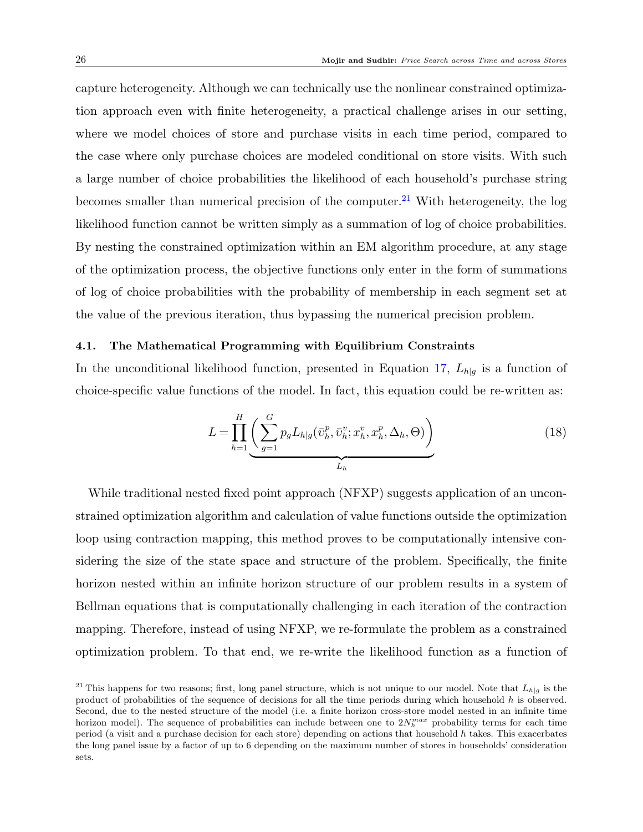capture heterogeneity. Although we can technically use the nonlinear constrained optimization approach even with finite heterogeneity, a practical challenge arises in our setting, where we model choices of store and purchase visits in each time period, compared to the case where only purchase choices are modeled conditional on store visits. With such a large number of choice probabilities the likelihood of each household's purchase string becomes smaller than numerical precision of the computer.<sup>[21](#page-26-0)</sup> With heterogeneity, the log likelihood function cannot be written simply as a summation of log of choice probabilities. By nesting the constrained optimization within an EM algorithm procedure, at any stage of the optimization process, the objective functions only enter in the form of summations of log of choice probabilities with the probability of membership in each segment set at the value of the previous iteration, thus bypassing the numerical precision problem.

### 4.1. The Mathematical Programming with Equilibrium Constraints

In the unconditional likelihood function, presented in Equation [17,](#page-25-1)  $L_{h|q}$  is a function of choice-specific value functions of the model. In fact, this equation could be re-written as:

$$
L = \prod_{h=1}^{H} \left( \sum_{g=1}^{G} p_g L_{h|g}(\bar{v}_h^p, \bar{v}_h^v; x_h^v, x_h^p, \Delta_h, \Theta) \right)
$$
(18)

While traditional nested fixed point approach (NFXP) suggests application of an unconstrained optimization algorithm and calculation of value functions outside the optimization loop using contraction mapping, this method proves to be computationally intensive considering the size of the state space and structure of the problem. Specifically, the finite horizon nested within an infinite horizon structure of our problem results in a system of Bellman equations that is computationally challenging in each iteration of the contraction mapping. Therefore, instead of using NFXP, we re-formulate the problem as a constrained optimization problem. To that end, we re-write the likelihood function as a function of

<span id="page-26-0"></span><sup>&</sup>lt;sup>21</sup> This happens for two reasons; first, long panel structure, which is not unique to our model. Note that  $L_{h|g}$  is the product of probabilities of the sequence of decisions for all the time periods during which household h is observed. Second, due to the nested structure of the model (i.e. a finite horizon cross-store model nested in an infinite time horizon model). The sequence of probabilities can include between one to  $2N_h^{max}$  probability terms for each time period (a visit and a purchase decision for each store) depending on actions that household  $h$  takes. This exacerbates the long panel issue by a factor of up to 6 depending on the maximum number of stores in households' consideration sets.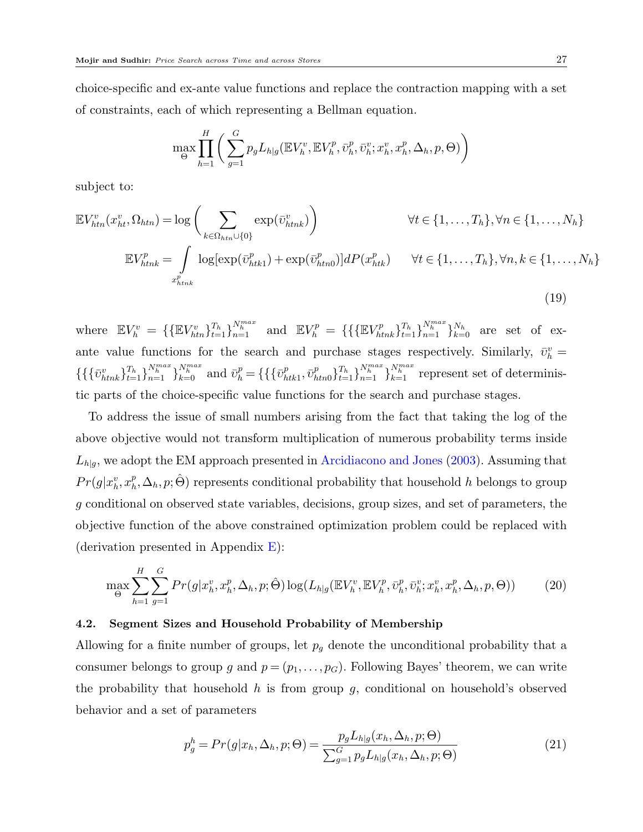choice-specific and ex-ante value functions and replace the contraction mapping with a set of constraints, each of which representing a Bellman equation.

$$
\max_{\Theta} \prod_{h=1}^H \bigg( \sum_{g=1}^G p_g L_{h|g}(\mathbb{E} V_h^v, \mathbb{E} V_h^p, \bar{\upsilon}_h^v, \bar{\upsilon}_h^v; x_h^v, x_h^p, \Delta_h, p, \Theta) \bigg)
$$

subject to:

$$
\mathbb{E}V_{htn}^{v}(x_{ht}^{v},\Omega_{htn}) = \log\left(\sum_{k \in \Omega_{htn} \cup \{0\}} \exp(\bar{v}_{htnk}^{v})\right) \qquad \forall t \in \{1,\ldots,T_h\}, \forall n \in \{1,\ldots,N_h\}
$$

$$
\mathbb{E}V_{htnk}^{p} = \int_{x_{htnk}^{p}} \log[\exp(\bar{v}_{htk1}^{p}) + \exp(\bar{v}_{htn0}^{p})]dP(x_{htk}^{p}) \qquad \forall t \in \{1,\ldots,T_h\}, \forall n, k \in \{1,\ldots,N_h\}
$$
(19)

where  $\mathbb{E} V^v_h = \{ \{ \mathbb{E} V^v_{htn} \}_{t=1}^{T_h} \}_{n=1}^{N_h^{max}}$  and  $\mathbb{E} V^p_h = \{ \{ \{ \mathbb{E} V^p_{htnk} \}_{t=1}^{T_h} \}_{n=1}^{N_h^{max}} \}_{k=0}^{N_h}$  are set of exante value functions for the search and purchase stages respectively. Similarly,  $\bar{v}_h^v$  =  $\{\{\{\bar{v}_{htnk}^v\}_{t=1}^{T_h}\}_{n=1}^{N_h^{max}}\}_{k=0}^{N_h^{max}}$  and  $\bar{v}_h^p = \{\{\{\bar{v}_h^p\}$  $_{htk1}^p, \bar{\upsilon}_h^p$  $P_{htn0}^{(n)}\}_{t=1}^{T_h}\}_{n=1}^{N_h^{max}}\}_{k=1}^{N_h^{max}}$  represent set of deterministic parts of the choice-specific value functions for the search and purchase stages.

To address the issue of small numbers arising from the fact that taking the log of the above objective would not transform multiplication of numerous probability terms inside  $L_{h|g}$ , we adopt the EM approach presented in [Arcidiacono and Jones](#page-41-11) [\(2003\)](#page-41-11). Assuming that  $Pr(g|x_h^v, x_h^p)$  $_h^p$ ,  $\Delta_h$ ,  $p$ ; $\hat{\Theta}$ ) represents conditional probability that household  $h$  belongs to group g conditional on observed state variables, decisions, group sizes, and set of parameters, the objective function of the above constrained optimization problem could be replaced with (derivation presented in Appendix  $E$ ):

<span id="page-27-0"></span>
$$
\max_{\Theta} \sum_{h=1}^{H} \sum_{g=1}^{G} Pr(g|x_h^v, x_h^p, \Delta_h, p; \hat{\Theta}) \log(L_{h|g}(\mathbb{E}V_h^v, \mathbb{E}V_h^p, \bar{v}_h^p, \bar{v}_h^v; x_h^v, x_h^p, \Delta_h, p, \Theta))
$$
(20)

#### 4.2. Segment Sizes and Household Probability of Membership

Allowing for a finite number of groups, let  $p<sub>g</sub>$  denote the unconditional probability that a consumer belongs to group g and  $p = (p_1, \ldots, p_G)$ . Following Bayes' theorem, we can write the probability that household h is from group q, conditional on household's observed behavior and a set of parameters

<span id="page-27-1"></span>
$$
p_g^h = Pr(g|x_h, \Delta_h, p; \Theta) = \frac{p_g L_{h|g}(x_h, \Delta_h, p; \Theta)}{\sum_{g=1}^G p_g L_{h|g}(x_h, \Delta_h, p; \Theta)}
$$
(21)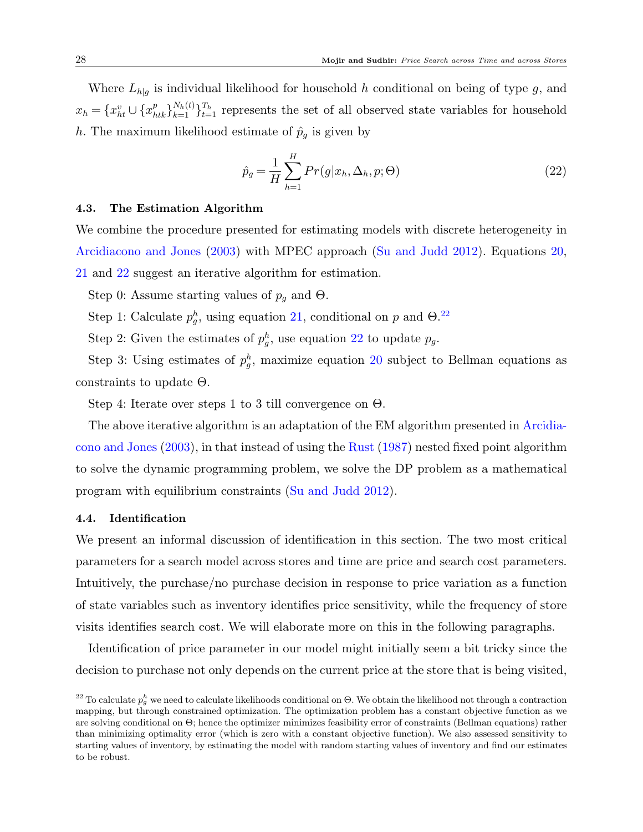Where  $L_{h|q}$  is individual likelihood for household h conditional on being of type g, and  $x_h = \{x_{ht}^v \cup \{x_{htk}^p\}_{k=1}^{N_h(t)}\}_{t=1}^{T_h}$  represents the set of all observed state variables for household h. The maximum likelihood estimate of  $\hat{p}_q$  is given by

<span id="page-28-0"></span>
$$
\hat{p}_g = \frac{1}{H} \sum_{h=1}^{H} Pr(g|x_h, \Delta_h, p; \Theta)
$$
\n(22)

#### 4.3. The Estimation Algorithm

We combine the procedure presented for estimating models with discrete heterogeneity in [Arcidiacono and Jones](#page-41-11) [\(2003\)](#page-41-11) with MPEC approach [\(Su and Judd](#page-42-17) [2012\)](#page-42-17). Equations [20,](#page-27-0) [21](#page-27-1) and [22](#page-28-0) suggest an iterative algorithm for estimation.

Step 0: Assume starting values of  $p<sub>g</sub>$  and  $\Theta$ .

Step 1: Calculate  $p_g^h$ , using equation [21,](#page-27-1) conditional on p and  $\Theta$ .<sup>[22](#page-28-1)</sup>

Step 2: Given the estimates of  $p_g^h$ , use equation [22](#page-28-0) to update  $p_g$ .

Step 3: Using estimates of  $p_g^h$ , maximize equation [20](#page-27-0) subject to Bellman equations as constraints to update Θ.

Step 4: Iterate over steps 1 to 3 till convergence on Θ.

The above iterative algorithm is an adaptation of the EM algorithm presented in [Arcidia](#page-41-11)[cono and Jones](#page-41-11) [\(2003\)](#page-41-11), in that instead of using the [Rust](#page-42-18) [\(1987\)](#page-42-18) nested fixed point algorithm to solve the dynamic programming problem, we solve the DP problem as a mathematical program with equilibrium constraints [\(Su and Judd](#page-42-17) [2012\)](#page-42-17).

#### 4.4. Identification

We present an informal discussion of identification in this section. The two most critical parameters for a search model across stores and time are price and search cost parameters. Intuitively, the purchase/no purchase decision in response to price variation as a function of state variables such as inventory identifies price sensitivity, while the frequency of store visits identifies search cost. We will elaborate more on this in the following paragraphs.

Identification of price parameter in our model might initially seem a bit tricky since the decision to purchase not only depends on the current price at the store that is being visited,

<span id="page-28-1"></span><sup>&</sup>lt;sup>22</sup> To calculate  $p_g^h$  we need to calculate likelihoods conditional on  $\Theta$ . We obtain the likelihood not through a contraction mapping, but through constrained optimization. The optimization problem has a constant objective function as we are solving conditional on Θ; hence the optimizer minimizes feasibility error of constraints (Bellman equations) rather than minimizing optimality error (which is zero with a constant objective function). We also assessed sensitivity to starting values of inventory, by estimating the model with random starting values of inventory and find our estimates to be robust.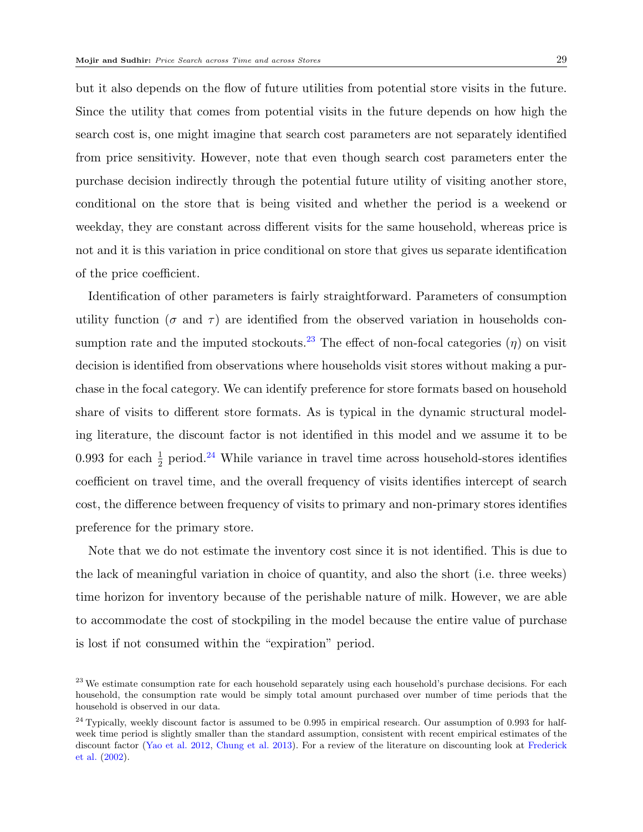but it also depends on the flow of future utilities from potential store visits in the future. Since the utility that comes from potential visits in the future depends on how high the search cost is, one might imagine that search cost parameters are not separately identified from price sensitivity. However, note that even though search cost parameters enter the purchase decision indirectly through the potential future utility of visiting another store, conditional on the store that is being visited and whether the period is a weekend or weekday, they are constant across different visits for the same household, whereas price is not and it is this variation in price conditional on store that gives us separate identification of the price coefficient.

Identification of other parameters is fairly straightforward. Parameters of consumption utility function ( $\sigma$  and  $\tau$ ) are identified from the observed variation in households con-sumption rate and the imputed stockouts.<sup>[23](#page-29-0)</sup> The effect of non-focal categories ( $\eta$ ) on visit decision is identified from observations where households visit stores without making a purchase in the focal category. We can identify preference for store formats based on household share of visits to different store formats. As is typical in the dynamic structural modeling literature, the discount factor is not identified in this model and we assume it to be 0.993 for each  $\frac{1}{2}$  period.<sup>[24](#page-29-1)</sup> While variance in travel time across household-stores identifies coefficient on travel time, and the overall frequency of visits identifies intercept of search cost, the difference between frequency of visits to primary and non-primary stores identifies preference for the primary store.

Note that we do not estimate the inventory cost since it is not identified. This is due to the lack of meaningful variation in choice of quantity, and also the short (i.e. three weeks) time horizon for inventory because of the perishable nature of milk. However, we are able to accommodate the cost of stockpiling in the model because the entire value of purchase is lost if not consumed within the "expiration" period.

<span id="page-29-0"></span><sup>&</sup>lt;sup>23</sup> We estimate consumption rate for each household separately using each household's purchase decisions. For each household, the consumption rate would be simply total amount purchased over number of time periods that the household is observed in our data.

<span id="page-29-1"></span> $^{24}$  Typically, weekly discount factor is assumed to be 0.995 in empirical research. Our assumption of 0.993 for halfweek time period is slightly smaller than the standard assumption, consistent with recent empirical estimates of the discount factor [\(Yao et al.](#page-43-0) [2012,](#page-43-0) [Chung et al.](#page-41-13) [2013\)](#page-41-13). For a review of the literature on discounting look at [Frederick](#page-41-14) [et al.](#page-41-14) [\(2002\)](#page-41-14).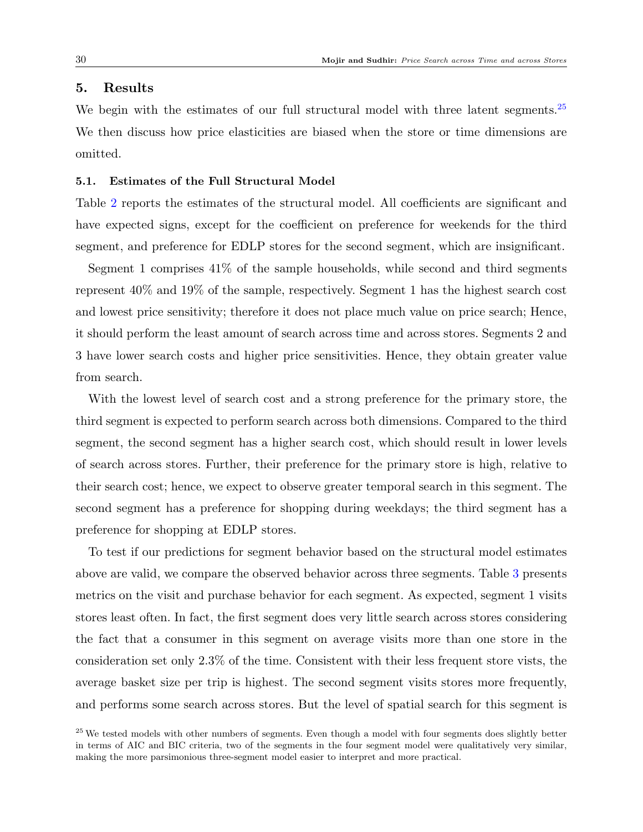# <span id="page-30-0"></span>5. Results

We begin with the estimates of our full structural model with three latent segments.<sup>[25](#page-30-1)</sup> We then discuss how price elasticities are biased when the store or time dimensions are omitted.

# 5.1. Estimates of the Full Structural Model

Table [2](#page-31-0) reports the estimates of the structural model. All coefficients are significant and have expected signs, except for the coefficient on preference for weekends for the third segment, and preference for EDLP stores for the second segment, which are insignificant.

Segment 1 comprises 41% of the sample households, while second and third segments represent 40% and 19% of the sample, respectively. Segment 1 has the highest search cost and lowest price sensitivity; therefore it does not place much value on price search; Hence, it should perform the least amount of search across time and across stores. Segments 2 and 3 have lower search costs and higher price sensitivities. Hence, they obtain greater value from search.

With the lowest level of search cost and a strong preference for the primary store, the third segment is expected to perform search across both dimensions. Compared to the third segment, the second segment has a higher search cost, which should result in lower levels of search across stores. Further, their preference for the primary store is high, relative to their search cost; hence, we expect to observe greater temporal search in this segment. The second segment has a preference for shopping during weekdays; the third segment has a preference for shopping at EDLP stores.

To test if our predictions for segment behavior based on the structural model estimates above are valid, we compare the observed behavior across three segments. Table [3](#page-32-0) presents metrics on the visit and purchase behavior for each segment. As expected, segment 1 visits stores least often. In fact, the first segment does very little search across stores considering the fact that a consumer in this segment on average visits more than one store in the consideration set only 2.3% of the time. Consistent with their less frequent store vists, the average basket size per trip is highest. The second segment visits stores more frequently, and performs some search across stores. But the level of spatial search for this segment is

<span id="page-30-1"></span><sup>25</sup> We tested models with other numbers of segments. Even though a model with four segments does slightly better in terms of AIC and BIC criteria, two of the segments in the four segment model were qualitatively very similar, making the more parsimonious three-segment model easier to interpret and more practical.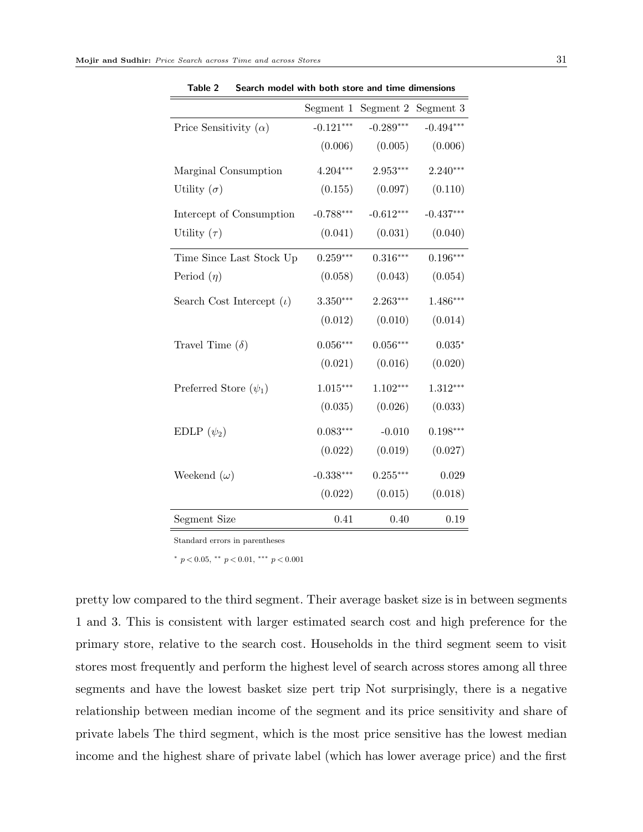<span id="page-31-0"></span>

|                                 | Segment 1   | Segment 2   | Segment 3   |
|---------------------------------|-------------|-------------|-------------|
| Price Sensitivity $(\alpha)$    | $-0.121***$ | $-0.289***$ | $-0.494***$ |
|                                 | (0.006)     | (0.005)     | (0.006)     |
| Marginal Consumption            | 4.204***    | $2.953***$  | $2.240***$  |
| Utility $(\sigma)$              | (0.155)     | (0.097)     | (0.110)     |
| Intercept of Consumption        | $-0.788***$ | $-0.612***$ | $-0.437***$ |
| Utility $(\tau)$                | (0.041)     | (0.031)     | (0.040)     |
| Time Since Last Stock Up        | $0.259***$  | $0.316***$  | $0.196***$  |
| Period $(\eta)$                 | (0.058)     | (0.043)     | (0.054)     |
| Search Cost Intercept $(\iota)$ | $3.350***$  | $2.263***$  | $1.486***$  |
|                                 | (0.012)     | (0.010)     | (0.014)     |
| Travel Time $(\delta)$          | $0.056***$  | $0.056***$  | $0.035*$    |
|                                 | (0.021)     | (0.016)     | (0.020)     |
| Preferred Store $(\psi_1)$      | $1.015***$  | $1.102***$  | $1.312***$  |
|                                 | (0.035)     | (0.026)     | (0.033)     |
| EDLP $(\psi_2)$                 | $0.083***$  | $-0.010$    | $0.198***$  |
|                                 | (0.022)     | (0.019)     | (0.027)     |
| Weekend $(\omega)$              | $-0.338***$ | $0.255***$  | 0.029       |
|                                 | (0.022)     | (0.015)     | (0.018)     |
| <b>Segment Size</b>             | 0.41        | 0.40        | 0.19        |

Table 2 Search model with both store and time dimensions

Standard errors in parentheses

 $*$  p < 0.05,  $*$  p < 0.01,  $*$   $*$  p < 0.001

pretty low compared to the third segment. Their average basket size is in between segments 1 and 3. This is consistent with larger estimated search cost and high preference for the primary store, relative to the search cost. Households in the third segment seem to visit stores most frequently and perform the highest level of search across stores among all three segments and have the lowest basket size pert trip Not surprisingly, there is a negative relationship between median income of the segment and its price sensitivity and share of private labels The third segment, which is the most price sensitive has the lowest median income and the highest share of private label (which has lower average price) and the first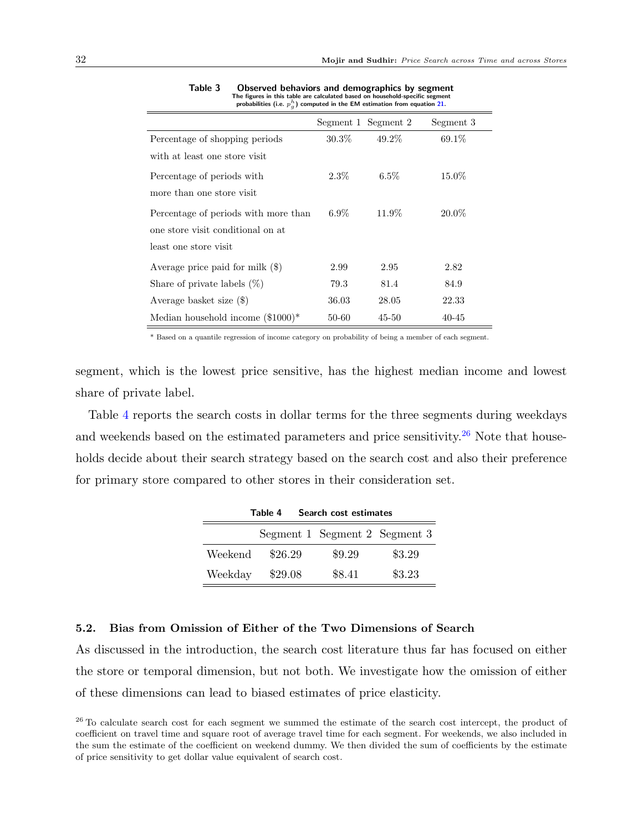<span id="page-32-0"></span>

|                                      | Segment 1 Segment 2 |           | Segment 3 |
|--------------------------------------|---------------------|-----------|-----------|
| Percentage of shopping periods       | $30.3\%$            | 49.2%     | 69.1\%    |
| with at least one store visit        |                     |           |           |
| Percentage of periods with           | $2.3\%$             | $6.5\%$   | 15.0%     |
| more than one store visit            |                     |           |           |
| Percentage of periods with more than | $6.9\%$             | 11.9%     | 20.0%     |
| one store visit conditional on at    |                     |           |           |
| least one store visit                |                     |           |           |
| Average price paid for milk $(\$)$   | 2.99                | 2.95      | 2.82      |
| Share of private labels $(\%)$       | 79.3                | 81.4      | 84.9      |
| Average basket size $(\$)$           | 36.03               | 28.05     | 22.33     |
| Median household income $(\$1000)*$  | 50-60               | $45 - 50$ | $40 - 45$ |

Table 3 Observed behaviors and demographics by segment The figures in this table are calculated based on household-specific segment probabilities (i.e.  $p_g^h$ ) computed in the EM estimation from equation [21.](#page-27-1)

\* Based on a quantile regression of income category on probability of being a member of each segment.

segment, which is the lowest price sensitive, has the highest median income and lowest share of private label.

<span id="page-32-1"></span>Table [4](#page-32-1) reports the search costs in dollar terms for the three segments during weekdays and weekends based on the estimated parameters and price sensitivity.<sup>[26](#page-32-2)</sup> Note that households decide about their search strategy based on the search cost and also their preference for primary store compared to other stores in their consideration set.

| Table 4<br>Search cost estimates |         |                               |        |  |
|----------------------------------|---------|-------------------------------|--------|--|
|                                  |         | Segment 1 Segment 2 Segment 3 |        |  |
| Weekend                          | \$26.29 | \$9.29                        | \$3.29 |  |
| Weekday                          | \$29.08 | \$8.41                        | \$3.23 |  |

Table 4 Search cost estimates

## <span id="page-32-3"></span>5.2. Bias from Omission of Either of the Two Dimensions of Search

As discussed in the introduction, the search cost literature thus far has focused on either the store or temporal dimension, but not both. We investigate how the omission of either of these dimensions can lead to biased estimates of price elasticity.

<span id="page-32-2"></span><sup>&</sup>lt;sup>26</sup> To calculate search cost for each segment we summed the estimate of the search cost intercept, the product of coefficient on travel time and square root of average travel time for each segment. For weekends, we also included in the sum the estimate of the coefficient on weekend dummy. We then divided the sum of coefficients by the estimate of price sensitivity to get dollar value equivalent of search cost.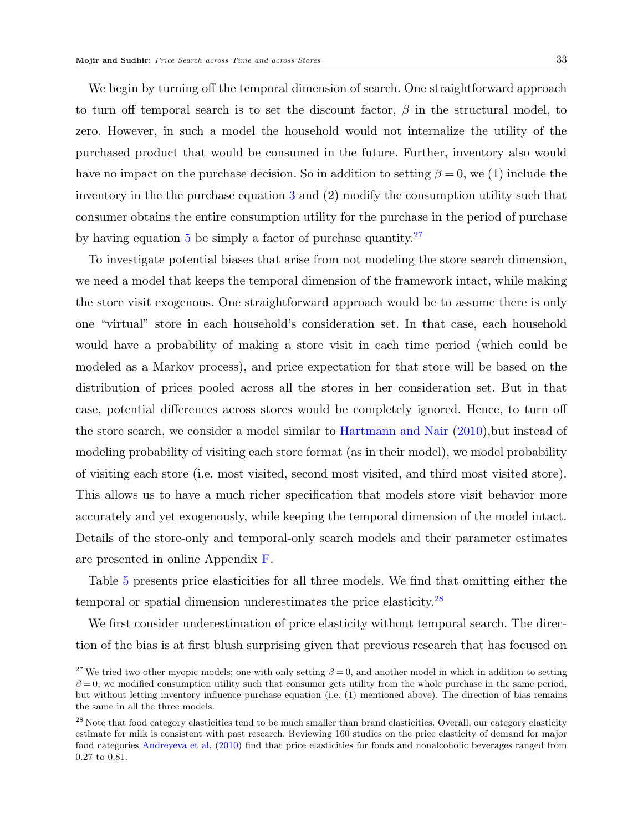We begin by turning off the temporal dimension of search. One straightforward approach to turn off temporal search is to set the discount factor,  $\beta$  in the structural model, to zero. However, in such a model the household would not internalize the utility of the purchased product that would be consumed in the future. Further, inventory also would have no impact on the purchase decision. So in addition to setting  $\beta = 0$ , we (1) include the inventory in the the purchase equation [3](#page-18-1) and (2) modify the consumption utility such that consumer obtains the entire consumption utility for the purchase in the period of purchase by having equation [5](#page-18-2) be simply a factor of purchase quantity.  $27$ 

To investigate potential biases that arise from not modeling the store search dimension, we need a model that keeps the temporal dimension of the framework intact, while making the store visit exogenous. One straightforward approach would be to assume there is only one "virtual" store in each household's consideration set. In that case, each household would have a probability of making a store visit in each time period (which could be modeled as a Markov process), and price expectation for that store will be based on the distribution of prices pooled across all the stores in her consideration set. But in that case, potential differences across stores would be completely ignored. Hence, to turn off the store search, we consider a model similar to [Hartmann and Nair](#page-41-6) [\(2010\)](#page-41-6),but instead of modeling probability of visiting each store format (as in their model), we model probability of visiting each store (i.e. most visited, second most visited, and third most visited store). This allows us to have a much richer specification that models store visit behavior more accurately and yet exogenously, while keeping the temporal dimension of the model intact. Details of the store-only and temporal-only search models and their parameter estimates are presented in online Appendix [F.](#page-35-0)

Table [5](#page-34-0) presents price elasticities for all three models. We find that omitting either the temporal or spatial dimension underestimates the price elasticity.[28](#page-33-1)

We first consider underestimation of price elasticity without temporal search. The direction of the bias is at first blush surprising given that previous research that has focused on

<span id="page-33-0"></span><sup>&</sup>lt;sup>27</sup> We tried two other myopic models; one with only setting  $\beta = 0$ , and another model in which in addition to setting  $\beta = 0$ , we modified consumption utility such that consumer gets utility from the whole purchase in the same period, but without letting inventory influence purchase equation (i.e. (1) mentioned above). The direction of bias remains the same in all the three models.

<span id="page-33-1"></span><sup>&</sup>lt;sup>28</sup> Note that food category elasticities tend to be much smaller than brand elasticities. Overall, our category elasticity estimate for milk is consistent with past research. Reviewing 160 studies on the price elasticity of demand for major food categories [Andreyeva et al.](#page-41-15) [\(2010\)](#page-41-15) find that price elasticities for foods and nonalcoholic beverages ranged from 0.27 to 0.81.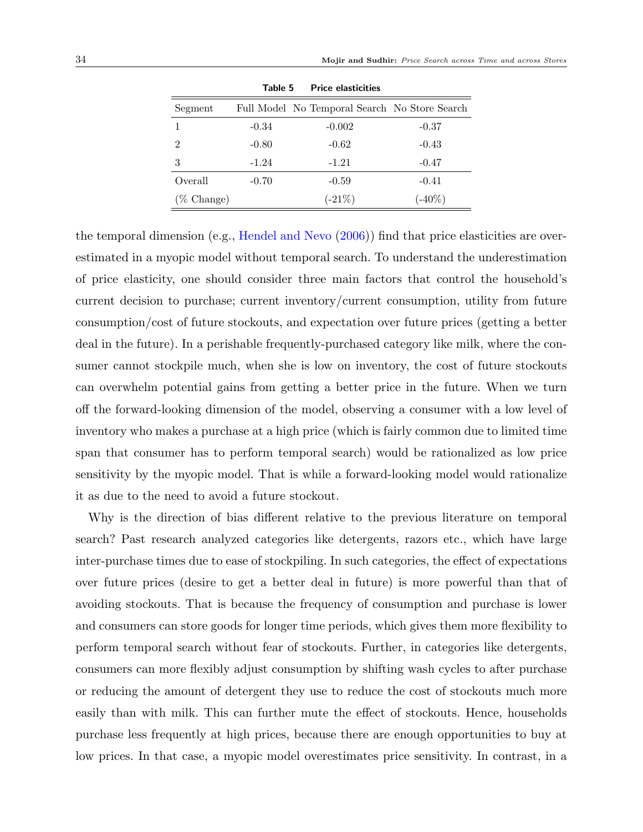<span id="page-34-0"></span>

|                       | Table 5 | <b>Price elasticities</b>                     |           |
|-----------------------|---------|-----------------------------------------------|-----------|
| Segment               |         | Full Model No Temporal Search No Store Search |           |
|                       | $-0.34$ | $-0.002$                                      | $-0.37$   |
| $\mathfrak{D}$        | $-0.80$ | $-0.62$                                       | $-0.43$   |
| 3                     | $-1.24$ | $-1.21$                                       | $-0.47$   |
| Overall               | $-0.70$ | $-0.59$                                       | $-0.41$   |
| $(\% \text{ Change})$ |         | $(-21\%)$                                     | $(-40\%)$ |

Table 5 Price elasticities

the temporal dimension (e.g., [Hendel and Nevo](#page-41-5) [\(2006\)](#page-41-5)) find that price elasticities are overestimated in a myopic model without temporal search. To understand the underestimation of price elasticity, one should consider three main factors that control the household's current decision to purchase; current inventory/current consumption, utility from future consumption/cost of future stockouts, and expectation over future prices (getting a better deal in the future). In a perishable frequently-purchased category like milk, where the consumer cannot stockpile much, when she is low on inventory, the cost of future stockouts can overwhelm potential gains from getting a better price in the future. When we turn off the forward-looking dimension of the model, observing a consumer with a low level of inventory who makes a purchase at a high price (which is fairly common due to limited time span that consumer has to perform temporal search) would be rationalized as low price sensitivity by the myopic model. That is while a forward-looking model would rationalize it as due to the need to avoid a future stockout.

Why is the direction of bias different relative to the previous literature on temporal search? Past research analyzed categories like detergents, razors etc., which have large inter-purchase times due to ease of stockpiling. In such categories, the effect of expectations over future prices (desire to get a better deal in future) is more powerful than that of avoiding stockouts. That is because the frequency of consumption and purchase is lower and consumers can store goods for longer time periods, which gives them more flexibility to perform temporal search without fear of stockouts. Further, in categories like detergents, consumers can more flexibly adjust consumption by shifting wash cycles to after purchase or reducing the amount of detergent they use to reduce the cost of stockouts much more easily than with milk. This can further mute the effect of stockouts. Hence, households purchase less frequently at high prices, because there are enough opportunities to buy at low prices. In that case, a myopic model overestimates price sensitivity. In contrast, in a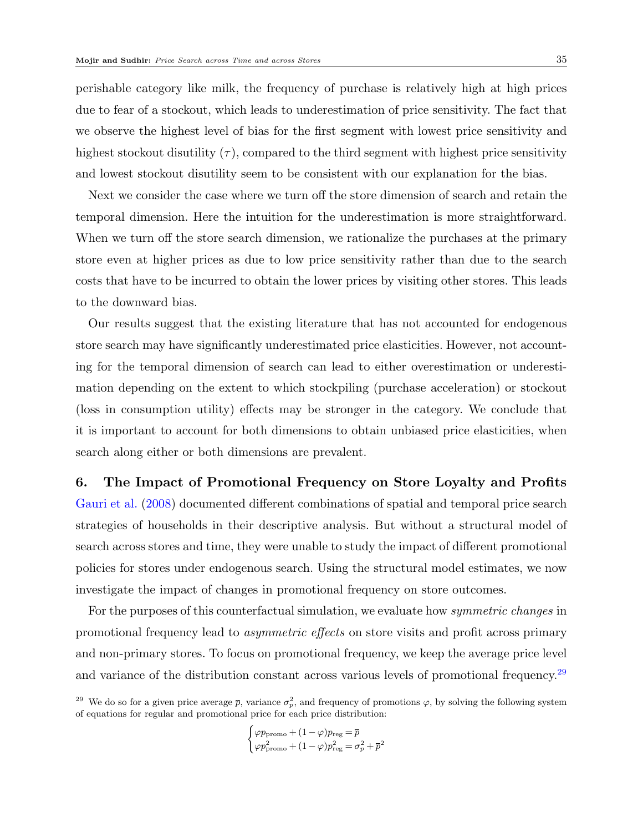perishable category like milk, the frequency of purchase is relatively high at high prices due to fear of a stockout, which leads to underestimation of price sensitivity. The fact that we observe the highest level of bias for the first segment with lowest price sensitivity and highest stockout disutility  $(\tau)$ , compared to the third segment with highest price sensitivity and lowest stockout disutility seem to be consistent with our explanation for the bias.

Next we consider the case where we turn off the store dimension of search and retain the temporal dimension. Here the intuition for the underestimation is more straightforward. When we turn off the store search dimension, we rationalize the purchases at the primary store even at higher prices as due to low price sensitivity rather than due to the search costs that have to be incurred to obtain the lower prices by visiting other stores. This leads to the downward bias.

Our results suggest that the existing literature that has not accounted for endogenous store search may have significantly underestimated price elasticities. However, not accounting for the temporal dimension of search can lead to either overestimation or underestimation depending on the extent to which stockpiling (purchase acceleration) or stockout (loss in consumption utility) effects may be stronger in the category. We conclude that it is important to account for both dimensions to obtain unbiased price elasticities, when search along either or both dimensions are prevalent.

<span id="page-35-0"></span>6. The Impact of Promotional Frequency on Store Loyalty and Profits [Gauri et al.](#page-41-0) [\(2008\)](#page-41-0) documented different combinations of spatial and temporal price search strategies of households in their descriptive analysis. But without a structural model of search across stores and time, they were unable to study the impact of different promotional policies for stores under endogenous search. Using the structural model estimates, we now investigate the impact of changes in promotional frequency on store outcomes.

For the purposes of this counterfactual simulation, we evaluate how *symmetric changes* in promotional frequency lead to asymmetric effects on store visits and profit across primary and non-primary stores. To focus on promotional frequency, we keep the average price level and variance of the distribution constant across various levels of promotional frequency.[29](#page-35-1)

$$
\begin{cases} \varphi p_{\text{promo}} + (1-\varphi) p_{\text{reg}} = \overline{p} \\ \varphi p_{\text{promo}}^2 + (1-\varphi) p_{\text{reg}}^2 = \sigma_p^2 + \overline{p}^2 \end{cases}
$$

<span id="page-35-1"></span><sup>&</sup>lt;sup>29</sup> We do so for a given price average  $\bar{p}$ , variance  $\sigma_p^2$ , and frequency of promotions  $\varphi$ , by solving the following system of equations for regular and promotional price for each price distribution: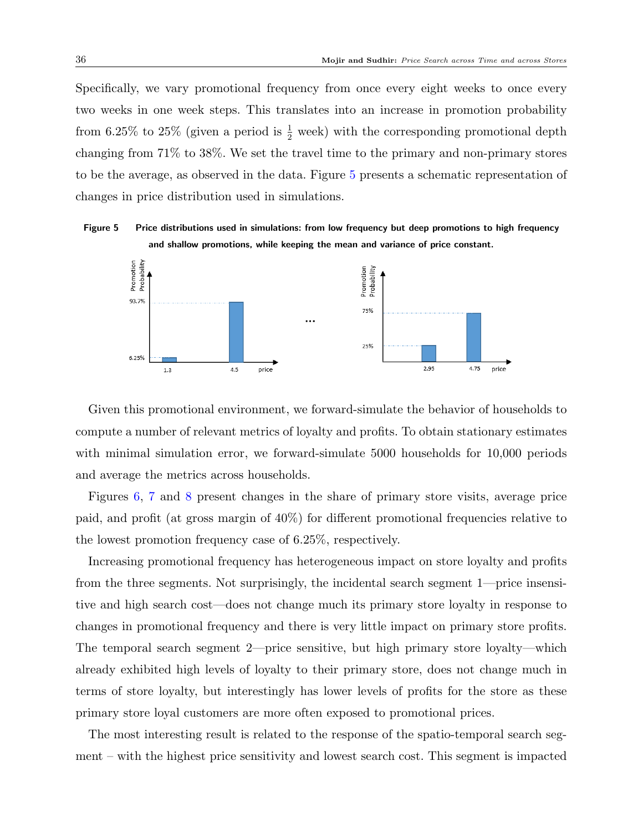Specifically, we vary promotional frequency from once every eight weeks to once every two weeks in one week steps. This translates into an increase in promotion probability from 6.25% to 25% (given a period is  $\frac{1}{2}$  week) with the corresponding promotional depth changing from 71% to 38%. We set the travel time to the primary and non-primary stores to be the average, as observed in the data. Figure [5](#page-36-0) presents a schematic representation of changes in price distribution used in simulations.

<span id="page-36-0"></span>Figure 5 Price distributions used in simulations: from low frequency but deep promotions to high frequency and shallow promotions, while keeping the mean and variance of price constant.



Given this promotional environment, we forward-simulate the behavior of households to compute a number of relevant metrics of loyalty and profits. To obtain stationary estimates with minimal simulation error, we forward-simulate 5000 households for 10,000 periods and average the metrics across households.

Figures [6,](#page-37-0) [7](#page-37-1) and [8](#page-37-2) present changes in the share of primary store visits, average price paid, and profit (at gross margin of 40%) for different promotional frequencies relative to the lowest promotion frequency case of 6.25%, respectively.

Increasing promotional frequency has heterogeneous impact on store loyalty and profits from the three segments. Not surprisingly, the incidental search segment 1—price insensitive and high search cost—does not change much its primary store loyalty in response to changes in promotional frequency and there is very little impact on primary store profits. The temporal search segment 2—price sensitive, but high primary store loyalty—which already exhibited high levels of loyalty to their primary store, does not change much in terms of store loyalty, but interestingly has lower levels of profits for the store as these primary store loyal customers are more often exposed to promotional prices.

The most interesting result is related to the response of the spatio-temporal search segment – with the highest price sensitivity and lowest search cost. This segment is impacted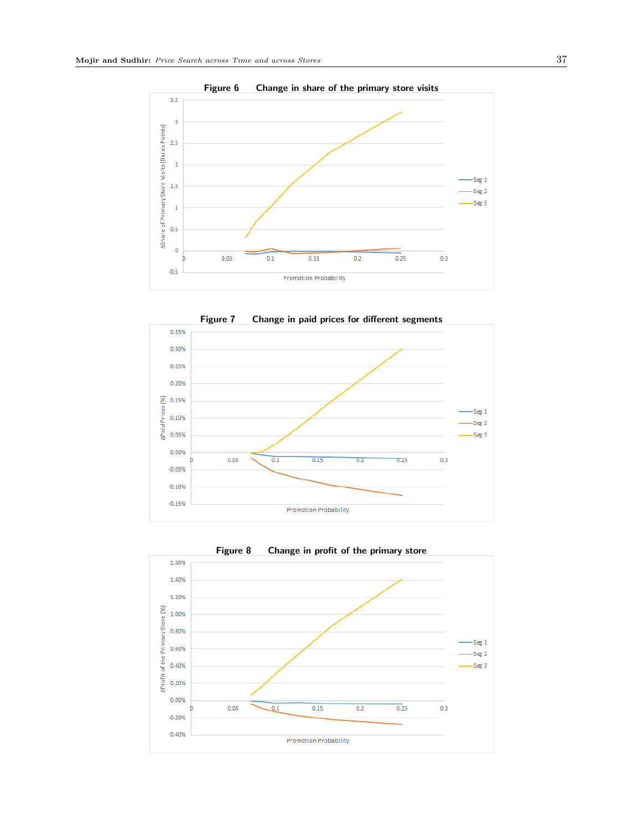<span id="page-37-0"></span>

<span id="page-37-1"></span>

<span id="page-37-2"></span>

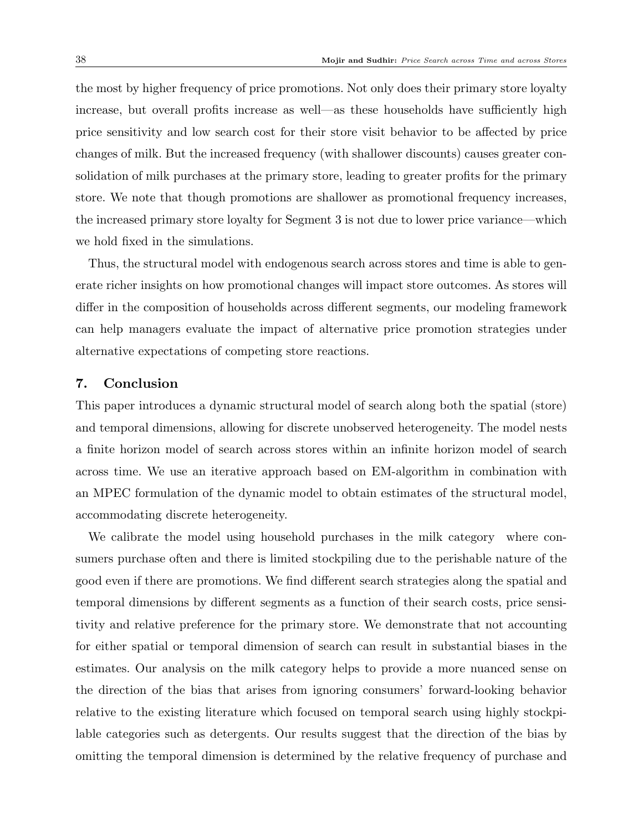the most by higher frequency of price promotions. Not only does their primary store loyalty increase, but overall profits increase as well—as these households have sufficiently high price sensitivity and low search cost for their store visit behavior to be affected by price changes of milk. But the increased frequency (with shallower discounts) causes greater consolidation of milk purchases at the primary store, leading to greater profits for the primary store. We note that though promotions are shallower as promotional frequency increases, the increased primary store loyalty for Segment 3 is not due to lower price variance—which we hold fixed in the simulations.

Thus, the structural model with endogenous search across stores and time is able to generate richer insights on how promotional changes will impact store outcomes. As stores will differ in the composition of households across different segments, our modeling framework can help managers evaluate the impact of alternative price promotion strategies under alternative expectations of competing store reactions.

# <span id="page-38-0"></span>7. Conclusion

This paper introduces a dynamic structural model of search along both the spatial (store) and temporal dimensions, allowing for discrete unobserved heterogeneity. The model nests a finite horizon model of search across stores within an infinite horizon model of search across time. We use an iterative approach based on EM-algorithm in combination with an MPEC formulation of the dynamic model to obtain estimates of the structural model, accommodating discrete heterogeneity.

We calibrate the model using household purchases in the milk category where consumers purchase often and there is limited stockpiling due to the perishable nature of the good even if there are promotions. We find different search strategies along the spatial and temporal dimensions by different segments as a function of their search costs, price sensitivity and relative preference for the primary store. We demonstrate that not accounting for either spatial or temporal dimension of search can result in substantial biases in the estimates. Our analysis on the milk category helps to provide a more nuanced sense on the direction of the bias that arises from ignoring consumers' forward-looking behavior relative to the existing literature which focused on temporal search using highly stockpilable categories such as detergents. Our results suggest that the direction of the bias by omitting the temporal dimension is determined by the relative frequency of purchase and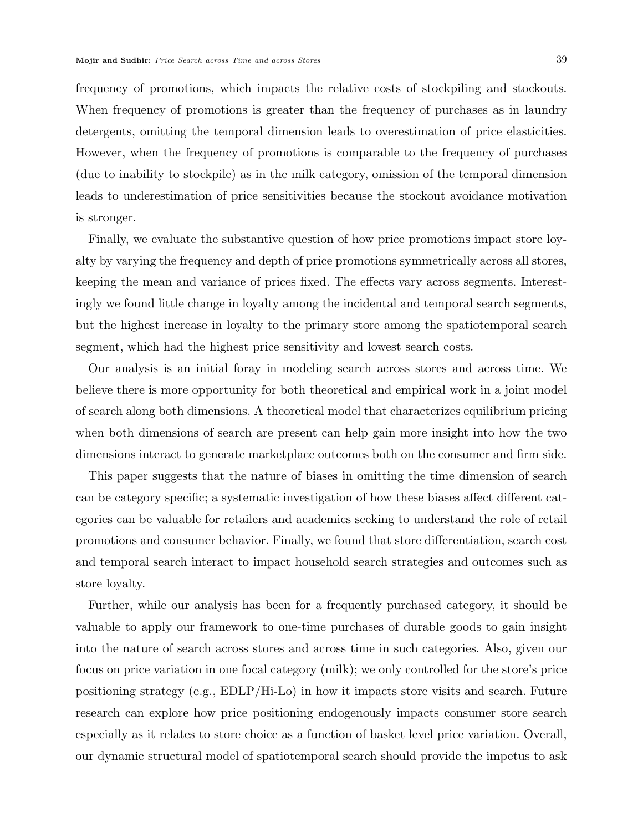frequency of promotions, which impacts the relative costs of stockpiling and stockouts. When frequency of promotions is greater than the frequency of purchases as in laundry detergents, omitting the temporal dimension leads to overestimation of price elasticities. However, when the frequency of promotions is comparable to the frequency of purchases (due to inability to stockpile) as in the milk category, omission of the temporal dimension leads to underestimation of price sensitivities because the stockout avoidance motivation is stronger.

Finally, we evaluate the substantive question of how price promotions impact store loyalty by varying the frequency and depth of price promotions symmetrically across all stores, keeping the mean and variance of prices fixed. The effects vary across segments. Interestingly we found little change in loyalty among the incidental and temporal search segments, but the highest increase in loyalty to the primary store among the spatiotemporal search segment, which had the highest price sensitivity and lowest search costs.

Our analysis is an initial foray in modeling search across stores and across time. We believe there is more opportunity for both theoretical and empirical work in a joint model of search along both dimensions. A theoretical model that characterizes equilibrium pricing when both dimensions of search are present can help gain more insight into how the two dimensions interact to generate marketplace outcomes both on the consumer and firm side.

This paper suggests that the nature of biases in omitting the time dimension of search can be category specific; a systematic investigation of how these biases affect different categories can be valuable for retailers and academics seeking to understand the role of retail promotions and consumer behavior. Finally, we found that store differentiation, search cost and temporal search interact to impact household search strategies and outcomes such as store loyalty.

Further, while our analysis has been for a frequently purchased category, it should be valuable to apply our framework to one-time purchases of durable goods to gain insight into the nature of search across stores and across time in such categories. Also, given our focus on price variation in one focal category (milk); we only controlled for the store's price positioning strategy (e.g., EDLP/Hi-Lo) in how it impacts store visits and search. Future research can explore how price positioning endogenously impacts consumer store search especially as it relates to store choice as a function of basket level price variation. Overall, our dynamic structural model of spatiotemporal search should provide the impetus to ask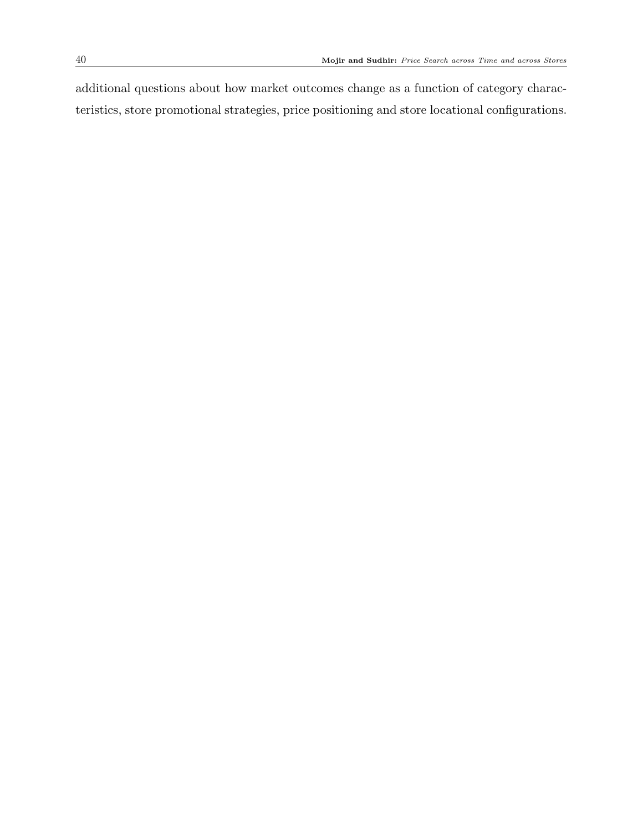additional questions about how market outcomes change as a function of category characteristics, store promotional strategies, price positioning and store locational configurations.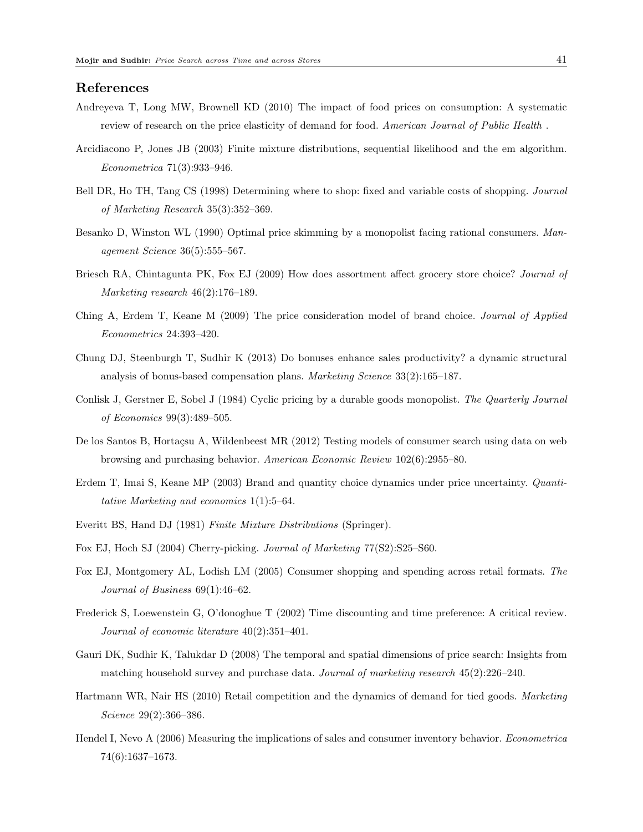# <span id="page-41-15"></span>References

- Andreyeva T, Long MW, Brownell KD (2010) The impact of food prices on consumption: A systematic review of research on the price elasticity of demand for food. American Journal of Public Health.
- <span id="page-41-11"></span>Arcidiacono P, Jones JB (2003) Finite mixture distributions, sequential likelihood and the em algorithm. Econometrica 71(3):933–946.
- <span id="page-41-8"></span>Bell DR, Ho TH, Tang CS (1998) Determining where to shop: fixed and variable costs of shopping. Journal of Marketing Research 35(3):352–369.
- <span id="page-41-3"></span>Besanko D, Winston WL (1990) Optimal price skimming by a monopolist facing rational consumers. Management Science 36(5):555–567.
- <span id="page-41-12"></span>Briesch RA, Chintagunta PK, Fox EJ (2009) How does assortment affect grocery store choice? Journal of Marketing research 46(2):176–189.
- <span id="page-41-7"></span>Ching A, Erdem T, Keane M (2009) The price consideration model of brand choice. Journal of Applied Econometrics 24:393–420.
- <span id="page-41-13"></span>Chung DJ, Steenburgh T, Sudhir K (2013) Do bonuses enhance sales productivity? a dynamic structural analysis of bonus-based compensation plans. Marketing Science 33(2):165–187.
- <span id="page-41-2"></span>Conlisk J, Gerstner E, Sobel J (1984) Cyclic pricing by a durable goods monopolist. The Quarterly Journal of Economics 99(3):489–505.
- <span id="page-41-1"></span>De los Santos B, Hortacsu A, Wildenbeest MR (2012) Testing models of consumer search using data on web browsing and purchasing behavior. American Economic Review 102(6):2955–80.
- <span id="page-41-4"></span>Erdem T, Imai S, Keane MP (2003) Brand and quantity choice dynamics under price uncertainty. *Quanti*tative Marketing and economics 1(1):5–64.
- <span id="page-41-16"></span>Everitt BS, Hand DJ (1981) Finite Mixture Distributions (Springer).
- <span id="page-41-10"></span>Fox EJ, Hoch SJ (2004) Cherry-picking. Journal of Marketing 77(S2):S25–S60.
- <span id="page-41-9"></span>Fox EJ, Montgomery AL, Lodish LM (2005) Consumer shopping and spending across retail formats. The Journal of Business 69(1):46–62.
- <span id="page-41-14"></span>Frederick S, Loewenstein G, O'donoghue T (2002) Time discounting and time preference: A critical review. Journal of economic literature 40(2):351–401.
- <span id="page-41-0"></span>Gauri DK, Sudhir K, Talukdar D (2008) The temporal and spatial dimensions of price search: Insights from matching household survey and purchase data. Journal of marketing research 45(2):226–240.
- <span id="page-41-6"></span>Hartmann WR, Nair HS (2010) Retail competition and the dynamics of demand for tied goods. Marketing Science 29(2):366–386.
- <span id="page-41-5"></span>Hendel I, Nevo A (2006) Measuring the implications of sales and consumer inventory behavior. Econometrica 74(6):1637–1673.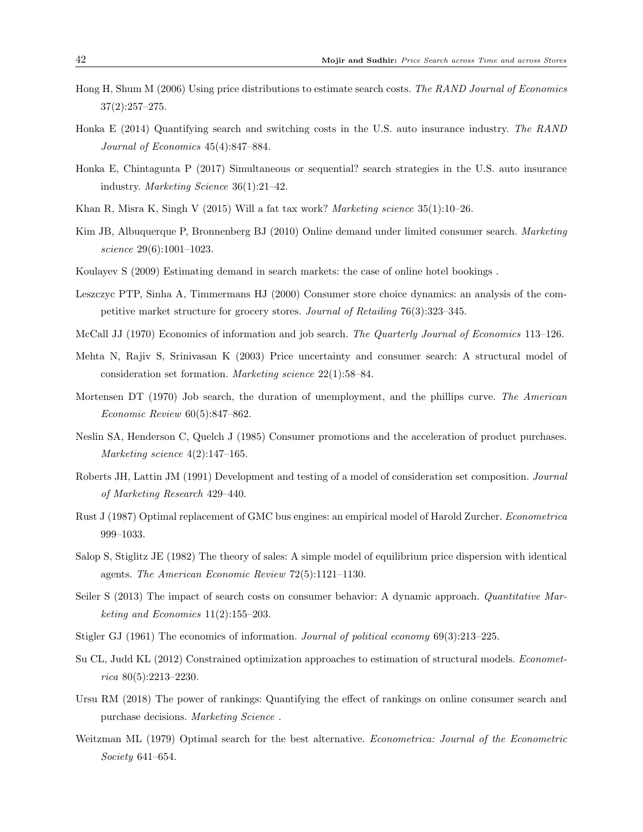- <span id="page-42-9"></span>Hong H, Shum M (2006) Using price distributions to estimate search costs. The RAND Journal of Economics 37(2):257–275.
- <span id="page-42-6"></span>Honka E (2014) Quantifying search and switching costs in the U.S. auto insurance industry. The RAND Journal of Economics 45(4):847–884.
- <span id="page-42-10"></span>Honka E, Chintagunta P (2017) Simultaneous or sequential? search strategies in the U.S. auto insurance industry. Marketing Science 36(1):21–42.
- <span id="page-42-16"></span>Khan R, Misra K, Singh V (2015) Will a fat tax work? *Marketing science*  $35(1):10-26$ .
- <span id="page-42-7"></span>Kim JB, Albuquerque P, Bronnenberg BJ (2010) Online demand under limited consumer search. Marketing science 29(6):1001–1023.
- <span id="page-42-8"></span>Koulayev S (2009) Estimating demand in search markets: the case of online hotel bookings .
- <span id="page-42-14"></span>Leszczyc PTP, Sinha A, Timmermans HJ (2000) Consumer store choice dynamics: an analysis of the competitive market structure for grocery stores. Journal of Retailing 76(3):323–345.
- <span id="page-42-1"></span>McCall JJ (1970) Economics of information and job search. The Quarterly Journal of Economics 113–126.
- <span id="page-42-5"></span>Mehta N, Rajiv S, Srinivasan K (2003) Price uncertainty and consumer search: A structural model of consideration set formation. Marketing science 22(1):58–84.
- <span id="page-42-2"></span>Mortensen DT (1970) Job search, the duration of unemployment, and the phillips curve. The American Economic Review 60(5):847–862.
- <span id="page-42-12"></span>Neslin SA, Henderson C, Quelch J (1985) Consumer promotions and the acceleration of product purchases. Marketing science 4(2):147–165.
- <span id="page-42-4"></span>Roberts JH, Lattin JM (1991) Development and testing of a model of consideration set composition. Journal of Marketing Research 429–440.
- <span id="page-42-18"></span>Rust J (1987) Optimal replacement of GMC bus engines: an empirical model of Harold Zurcher. Econometrica 999–1033.
- <span id="page-42-11"></span>Salop S, Stiglitz JE (1982) The theory of sales: A simple model of equilibrium price dispersion with identical agents. The American Economic Review 72(5):1121–1130.
- <span id="page-42-13"></span>Seiler S (2013) The impact of search costs on consumer behavior: A dynamic approach. Quantitative Marketing and Economics 11(2):155–203.
- <span id="page-42-0"></span>Stigler GJ (1961) The economics of information. Journal of political economy 69(3):213–225.
- <span id="page-42-17"></span>Su CL, Judd KL (2012) Constrained optimization approaches to estimation of structural models. Econometrica 80(5):2213–2230.
- <span id="page-42-15"></span>Ursu RM (2018) The power of rankings: Quantifying the effect of rankings on online consumer search and purchase decisions. Marketing Science .
- <span id="page-42-3"></span>Weitzman ML (1979) Optimal search for the best alternative. Econometrica: Journal of the Econometric Society 641–654.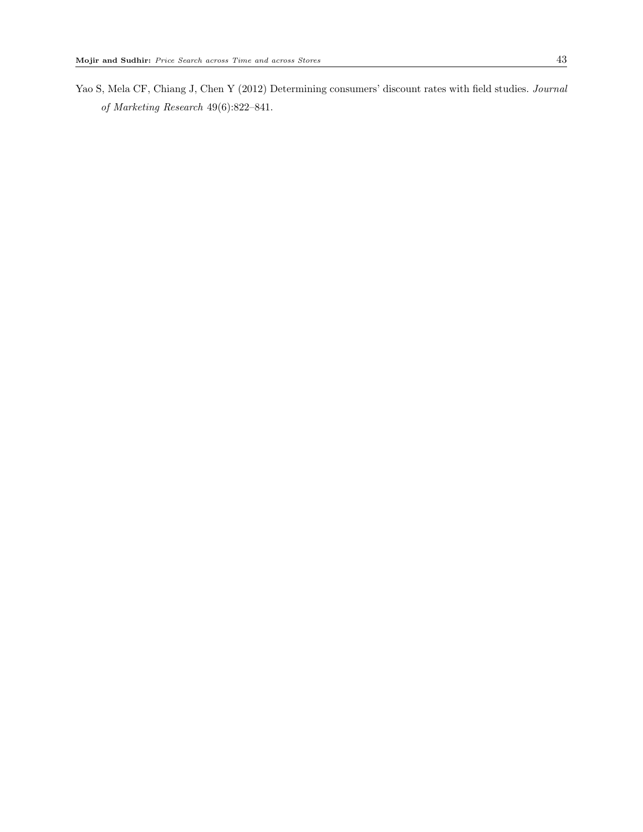<span id="page-43-0"></span>Yao S, Mela CF, Chiang J, Chen Y (2012) Determining consumers' discount rates with field studies. Journal of Marketing Research 49(6):822–841.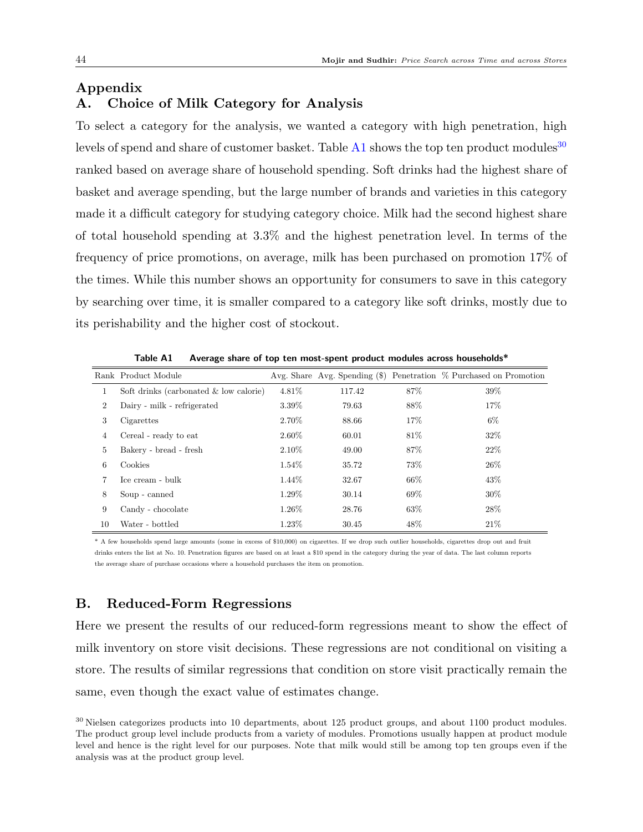#### Appendix

# A. Choice of Milk Category for Analysis

To select a category for the analysis, we wanted a category with high penetration, high levels of spend and share of customer basket. Table  $A1$  shows the top ten product modules<sup>[30](#page-44-1)</sup> ranked based on average share of household spending. Soft drinks had the highest share of basket and average spending, but the large number of brands and varieties in this category made it a difficult category for studying category choice. Milk had the second highest share of total household spending at 3.3% and the highest penetration level. In terms of the frequency of price promotions, on average, milk has been purchased on promotion 17% of the times. While this number shows an opportunity for consumers to save in this category by searching over time, it is smaller compared to a category like soft drinks, mostly due to its perishability and the higher cost of stockout.

<span id="page-44-0"></span>

|        | Rank Product Module                    |          |        |      | Avg. Share Avg. Spending $(\hat{\mathbf{s}})$ Penetration $\%$ Purchased on Promotion |
|--------|----------------------------------------|----------|--------|------|---------------------------------------------------------------------------------------|
| 1      | Soft drinks (carbonated & low calorie) | 4.81%    | 117.42 | 87%  | 39%                                                                                   |
| $^{2}$ | Dairy - milk - refrigerated            | 3.39%    | 79.63  | 88%  | 17%                                                                                   |
| 3      | Cigarettes                             | 2.70%    | 88.66  | 17%  | 6%                                                                                    |
| 4      | Cereal - ready to eat                  | $2.60\%$ | 60.01  | 81\% | 32%                                                                                   |
| 5      | Bakery - bread - fresh                 | $2.10\%$ | 49.00  | 87%  | 22%                                                                                   |
| 6      | Cookies                                | $1.54\%$ | 35.72  | 73%  | 26%                                                                                   |
|        | Ice cream - bulk                       | 1.44\%   | 32.67  | 66%  | 43%                                                                                   |
| 8      | Soup - canned                          | 1.29%    | 30.14  | 69%  | 30%                                                                                   |
| 9      | Candy - chocolate                      | $1.26\%$ | 28.76  | 63%  | 28%                                                                                   |
| 10     | Water - bottled                        | 1.23%    | 30.45  | 48%  | 21%                                                                                   |

Table A1 Average share of top ten most-spent product modules across households\*

\* A few households spend large amounts (some in excess of \$10,000) on cigarettes. If we drop such outlier households, cigarettes drop out and fruit drinks enters the list at No. 10. Penetration figures are based on at least a \$10 spend in the category during the year of data. The last column reports the average share of purchase occasions where a household purchases the item on promotion.

# B. Reduced-Form Regressions

Here we present the results of our reduced-form regressions meant to show the effect of milk inventory on store visit decisions. These regressions are not conditional on visiting a store. The results of similar regressions that condition on store visit practically remain the same, even though the exact value of estimates change.

<span id="page-44-1"></span> $30$  Nielsen categorizes products into 10 departments, about 125 product groups, and about 1100 product modules. The product group level include products from a variety of modules. Promotions usually happen at product module level and hence is the right level for our purposes. Note that milk would still be among top ten groups even if the analysis was at the product group level.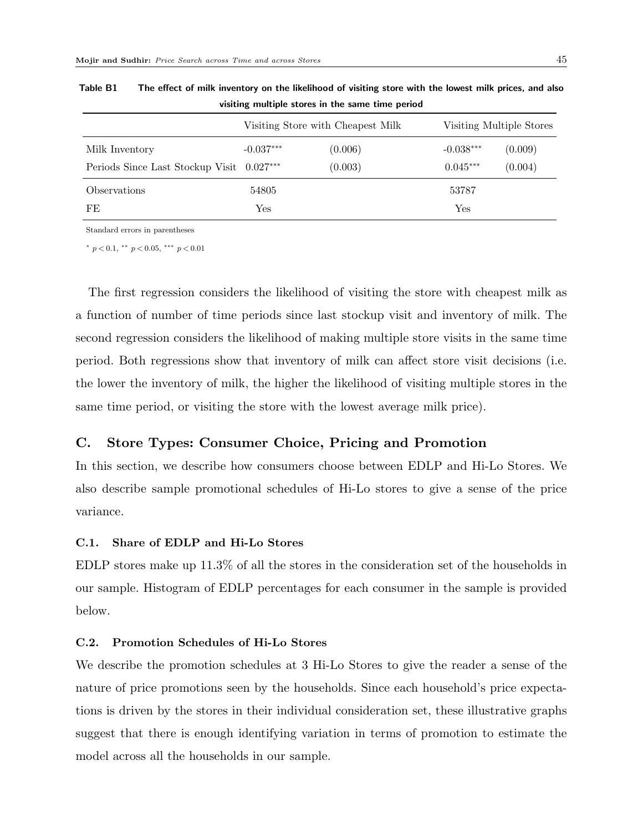|                                           | Visiting Store with Cheapest Milk |         | Visiting Multiple Stores |         |
|-------------------------------------------|-----------------------------------|---------|--------------------------|---------|
| Milk Inventory                            | $-0.037***$                       | (0.006) | $-0.038***$              | (0.009) |
| Periods Since Last Stockup Visit 0.027*** |                                   | (0.003) | $0.045***$               | (0.004) |
| Observations                              | 54805                             |         | 53787                    |         |
| FE                                        | Yes                               |         | Yes                      |         |

Table B1 The effect of milk inventory on the likelihood of visiting store with the lowest milk prices, and also visiting multiple stores in the same time period

Standard errors in parentheses

\*  $p < 0.1$ , \*\*  $p < 0.05$ , \*\*\*  $p < 0.01$ 

The first regression considers the likelihood of visiting the store with cheapest milk as a function of number of time periods since last stockup visit and inventory of milk. The second regression considers the likelihood of making multiple store visits in the same time period. Both regressions show that inventory of milk can affect store visit decisions (i.e. the lower the inventory of milk, the higher the likelihood of visiting multiple stores in the same time period, or visiting the store with the lowest average milk price).

# C. Store Types: Consumer Choice, Pricing and Promotion

In this section, we describe how consumers choose between EDLP and Hi-Lo Stores. We also describe sample promotional schedules of Hi-Lo stores to give a sense of the price variance.

## C.1. Share of EDLP and Hi-Lo Stores

EDLP stores make up 11.3% of all the stores in the consideration set of the households in our sample. Histogram of EDLP percentages for each consumer in the sample is provided below.

## C.2. Promotion Schedules of Hi-Lo Stores

We describe the promotion schedules at 3 Hi-Lo Stores to give the reader a sense of the nature of price promotions seen by the households. Since each household's price expectations is driven by the stores in their individual consideration set, these illustrative graphs suggest that there is enough identifying variation in terms of promotion to estimate the model across all the households in our sample.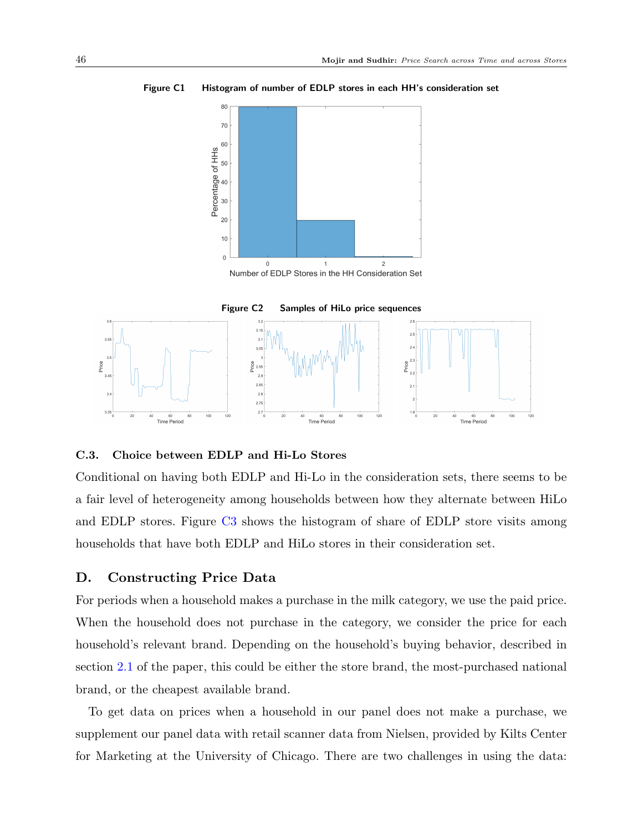

Figure C1 Histogram of number of EDLP stores in each HH's consideration set



### C.3. Choice between EDLP and Hi-Lo Stores

Conditional on having both EDLP and Hi-Lo in the consideration sets, there seems to be a fair level of heterogeneity among households between how they alternate between HiLo and EDLP stores. Figure [C3](#page-47-0) shows the histogram of share of EDLP store visits among households that have both EDLP and HiLo stores in their consideration set.

# D. Constructing Price Data

For periods when a household makes a purchase in the milk category, we use the paid price. When the household does not purchase in the category, we consider the price for each household's relevant brand. Depending on the household's buying behavior, described in section [2.1](#page-7-2) of the paper, this could be either the store brand, the most-purchased national brand, or the cheapest available brand.

To get data on prices when a household in our panel does not make a purchase, we supplement our panel data with retail scanner data from Nielsen, provided by Kilts Center for Marketing at the University of Chicago. There are two challenges in using the data: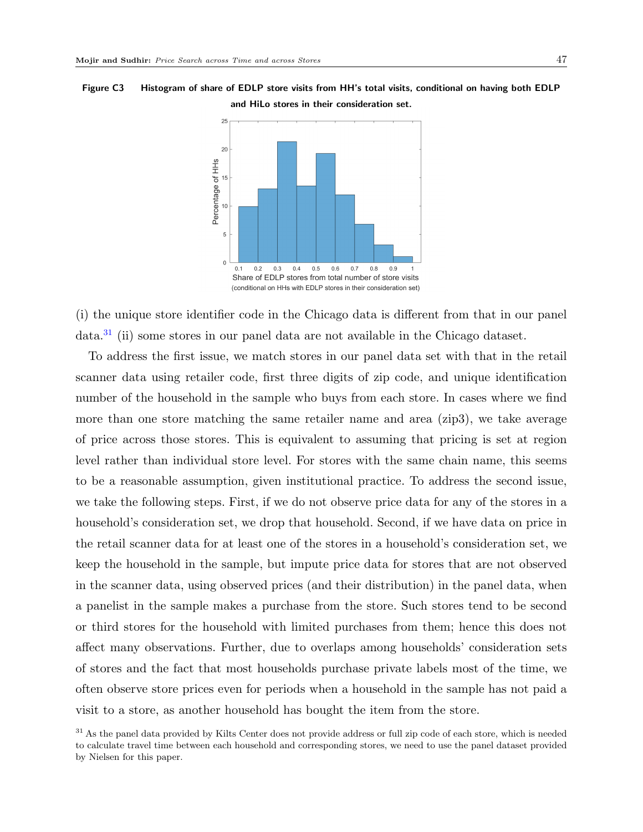<span id="page-47-0"></span>Figure C3 Histogram of share of EDLP store visits from HH's total visits, conditional on having both EDLP and HiLo stores in their consideration set.



(i) the unique store identifier code in the Chicago data is different from that in our panel data.[31](#page-47-1) (ii) some stores in our panel data are not available in the Chicago dataset.

To address the first issue, we match stores in our panel data set with that in the retail scanner data using retailer code, first three digits of zip code, and unique identification number of the household in the sample who buys from each store. In cases where we find more than one store matching the same retailer name and area (zip3), we take average of price across those stores. This is equivalent to assuming that pricing is set at region level rather than individual store level. For stores with the same chain name, this seems to be a reasonable assumption, given institutional practice. To address the second issue, we take the following steps. First, if we do not observe price data for any of the stores in a household's consideration set, we drop that household. Second, if we have data on price in the retail scanner data for at least one of the stores in a household's consideration set, we keep the household in the sample, but impute price data for stores that are not observed in the scanner data, using observed prices (and their distribution) in the panel data, when a panelist in the sample makes a purchase from the store. Such stores tend to be second or third stores for the household with limited purchases from them; hence this does not affect many observations. Further, due to overlaps among households' consideration sets of stores and the fact that most households purchase private labels most of the time, we often observe store prices even for periods when a household in the sample has not paid a visit to a store, as another household has bought the item from the store.

<span id="page-47-1"></span><sup>&</sup>lt;sup>31</sup> As the panel data provided by Kilts Center does not provide address or full zip code of each store, which is needed to calculate travel time between each household and corresponding stores, we need to use the panel dataset provided by Nielsen for this paper.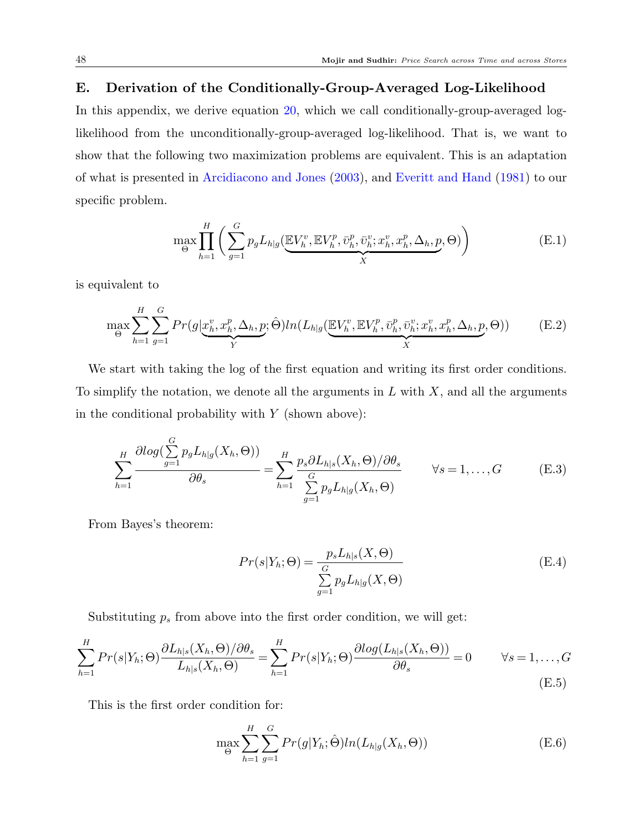# E. Derivation of the Conditionally-Group-Averaged Log-Likelihood

In this appendix, we derive equation [20,](#page-27-0) which we call conditionally-group-averaged loglikelihood from the unconditionally-group-averaged log-likelihood. That is, we want to show that the following two maximization problems are equivalent. This is an adaptation of what is presented in [Arcidiacono and Jones](#page-41-11) [\(2003\)](#page-41-11), and [Everitt and Hand](#page-41-16) [\(1981\)](#page-41-16) to our specific problem.

$$
\max_{\Theta} \prod_{h=1}^{H} \left( \sum_{g=1}^{G} p_g L_{h|g} \left( \underbrace{\mathbb{E} V_h^v, \mathbb{E} V_h^p, \bar{v}_h^p, \bar{v}_h^v; x_h^v, x_h^p, \Delta_h, p}_{X}, \Theta \right) \right) \tag{E.1}
$$

is equivalent to

$$
\max_{\Theta} \sum_{h=1}^{H} \sum_{g=1}^{G} Pr(g | \underbrace{x_h^v, x_h^p, \Delta_h, p}_{Y}; \hat{\Theta}) ln(L_{h|g} (\underbrace{\mathbb{E} V_h^v, \mathbb{E} V_h^p, \bar{v}_h^v, \bar{v}_h^v, x_h^v, x_h^p, \Delta_h, p}_{X}, \Theta))
$$
(E.2)

We start with taking the log of the first equation and writing its first order conditions. To simplify the notation, we denote all the arguments in  $L$  with  $X$ , and all the arguments in the conditional probability with  $Y$  (shown above):

$$
\sum_{h=1}^{H} \frac{\partial \log(\sum_{g=1}^{G} p_g L_{h|g}(X_h, \Theta))}{\partial \theta_s} = \sum_{h=1}^{H} \frac{p_s \partial L_{h|s}(X_h, \Theta)/\partial \theta_s}{\sum_{g=1}^{G} p_g L_{h|g}(X_h, \Theta)} \qquad \forall s = 1, ..., G
$$
 (E.3)

From Bayes's theorem:

$$
Pr(s|Y_h; \Theta) = \frac{p_s L_{h|s}(X, \Theta)}{\sum_{g=1}^{G} p_g L_{h|g}(X, \Theta)}
$$
(E.4)

Substituting  $p_s$  from above into the first order condition, we will get:

$$
\sum_{h=1}^{H} Pr(s|Y_h; \Theta) \frac{\partial L_{h|s}(X_h, \Theta)/\partial \theta_s}{L_{h|s}(X_h, \Theta)} = \sum_{h=1}^{H} Pr(s|Y_h; \Theta) \frac{\partial log(L_{h|s}(X_h, \Theta))}{\partial \theta_s} = 0 \qquad \forall s = 1, ..., G
$$
\n(E.5)

This is the first order condition for:

$$
\max_{\Theta} \sum_{h=1}^{H} \sum_{g=1}^{G} Pr(g|Y_h; \hat{\Theta}) ln(L_{h|g}(X_h, \Theta))
$$
\n(E.6)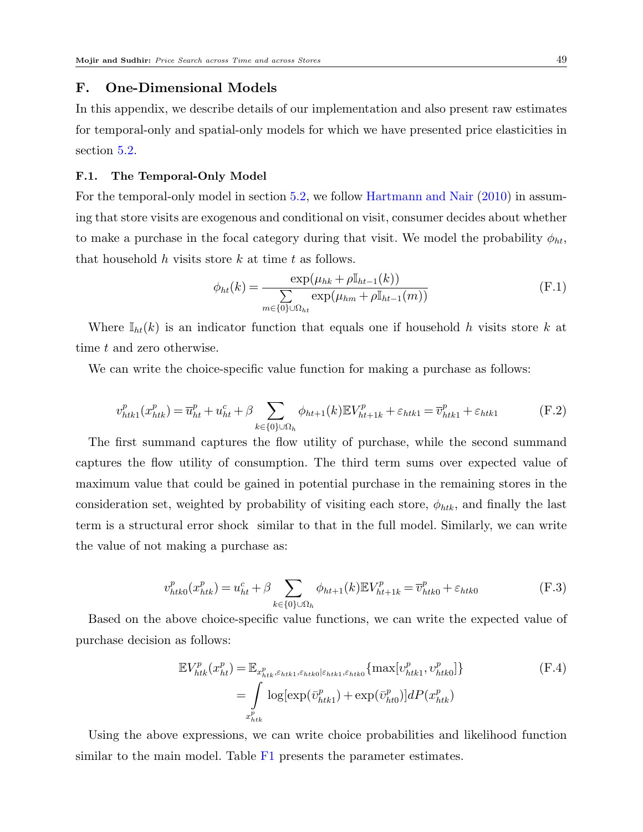# F. One-Dimensional Models

In this appendix, we describe details of our implementation and also present raw estimates for temporal-only and spatial-only models for which we have presented price elasticities in section [5.2.](#page-32-3)

#### F.1. The Temporal-Only Model

For the temporal-only model in section [5.2,](#page-32-3) we follow [Hartmann and Nair](#page-41-6) [\(2010\)](#page-41-6) in assuming that store visits are exogenous and conditional on visit, consumer decides about whether to make a purchase in the focal category during that visit. We model the probability  $\phi_{ht}$ , that household  $h$  visits store  $k$  at time  $t$  as follows.

$$
\phi_{ht}(k) = \frac{\exp(\mu_{hk} + \rho \mathbb{I}_{ht-1}(k))}{\sum_{m \in \{0\} \cup \Omega_{ht}} \exp(\mu_{hm} + \rho \mathbb{I}_{ht-1}(m))}
$$
(F.1)

Where  $\mathbb{I}_{ht}(k)$  is an indicator function that equals one if household h visits store k at time t and zero otherwise.

We can write the choice-specific value function for making a purchase as follows:

$$
v_{htk1}^p(x_{htk}^p) = \overline{u}_{ht}^p + u_{ht}^c + \beta \sum_{k \in \{0\} \cup \Omega_h} \phi_{ht+1}(k) \mathbb{E} V_{ht+1k}^p + \varepsilon_{htk1} = \overline{v}_{htk1}^p + \varepsilon_{htk1}
$$
 (F.2)

The first summand captures the flow utility of purchase, while the second summand captures the flow utility of consumption. The third term sums over expected value of maximum value that could be gained in potential purchase in the remaining stores in the consideration set, weighted by probability of visiting each store,  $\phi_{htk}$ , and finally the last term is a structural error shock similar to that in the full model. Similarly, we can write the value of not making a purchase as:

$$
v_{htk0}^p(x_{htk}^p) = u_{ht}^c + \beta \sum_{k \in \{0\} \cup \Omega_h} \phi_{ht+1}(k) \mathbb{E} V_{ht+1k}^p = \overline{v}_{htk0}^p + \varepsilon_{htk0}
$$
 (F.3)

Based on the above choice-specific value functions, we can write the expected value of purchase decision as follows:

$$
\mathbb{E}V_{htk}^{p}(x_{ht}^{p}) = \mathbb{E}_{x_{htk}^{p}, \varepsilon_{htk1}, \varepsilon_{htk0} | \varepsilon_{htk1}, \varepsilon_{htk0}} \{ \max[v_{htk1}^{p}, v_{htk0}^{p}] \}
$$
\n
$$
= \int_{x_{htk}^{p}} \log[\exp(\bar{v}_{htk1}^{p}) + \exp(\bar{v}_{ht0}^{p})] dP(x_{htk}^{p})
$$
\n(F.4)

Using the above expressions, we can write choice probabilities and likelihood function similar to the main model. Table [F1](#page-50-0) presents the parameter estimates.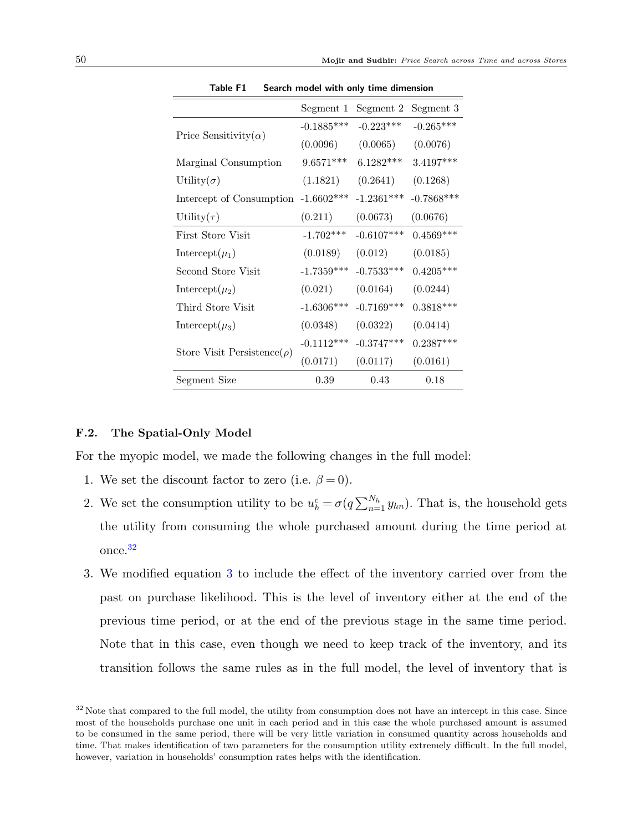<span id="page-50-0"></span>

|                                   | Segment 1    | Segment 2    | Segment 3    |
|-----------------------------------|--------------|--------------|--------------|
|                                   | $-0.1885***$ | $-0.223***$  | $-0.265***$  |
| Price Sensitivity( $\alpha$ )     | (0.0096)     | (0.0065)     | (0.0076)     |
| Marginal Consumption              | $9.6571***$  | $6.1282***$  | 3.4197***    |
| Utility $(\sigma)$                | (1.1821)     | (0.2641)     | (0.1268)     |
| Intercept of Consumption          | $-1.6602***$ | $-1.2361***$ | $-0.7868***$ |
| Utility $(\tau)$                  | (0.211)      | (0.0673)     | (0.0676)     |
| First Store Visit                 | $-1.702***$  | $-0.6107***$ | $0.4569***$  |
| Intercept $(\mu_1)$               | (0.0189)     | (0.012)      | (0.0185)     |
| Second Store Visit                | $-1.7359***$ | $-0.7533***$ | $0.4205***$  |
| Intercept( $\mu_2$ )              | (0.021)      | (0.0164)     | (0.0244)     |
| Third Store Visit                 | $-1.6306***$ | $-0.7169***$ | $0.3818***$  |
| Intercept( $\mu_3$ )              | (0.0348)     | (0.0322)     | (0.0414)     |
|                                   | $-0.1112***$ | $-0.3747***$ | $0.2387***$  |
| Store Visit Persistence( $\rho$ ) | (0.0171)     | (0.0117)     | (0.0161)     |
| Segment Size                      | 0.39         | 0.43         | 0.18         |

Table F1 Search model with only time dimension

#### F.2. The Spatial-Only Model

For the myopic model, we made the following changes in the full model:

- 1. We set the discount factor to zero (i.e.  $\beta = 0$ ).
- 2. We set the consumption utility to be  $u_h^c = \sigma(q \sum_{n=1}^{N_h} y_{hn})$ . That is, the household gets the utility from consuming the whole purchased amount during the time period at once.[32](#page-50-1)
- 3. We modified equation [3](#page-18-1) to include the effect of the inventory carried over from the past on purchase likelihood. This is the level of inventory either at the end of the previous time period, or at the end of the previous stage in the same time period. Note that in this case, even though we need to keep track of the inventory, and its transition follows the same rules as in the full model, the level of inventory that is

<span id="page-50-1"></span><sup>&</sup>lt;sup>32</sup> Note that compared to the full model, the utility from consumption does not have an intercept in this case. Since most of the households purchase one unit in each period and in this case the whole purchased amount is assumed to be consumed in the same period, there will be very little variation in consumed quantity across households and time. That makes identification of two parameters for the consumption utility extremely difficult. In the full model, however, variation in households' consumption rates helps with the identification.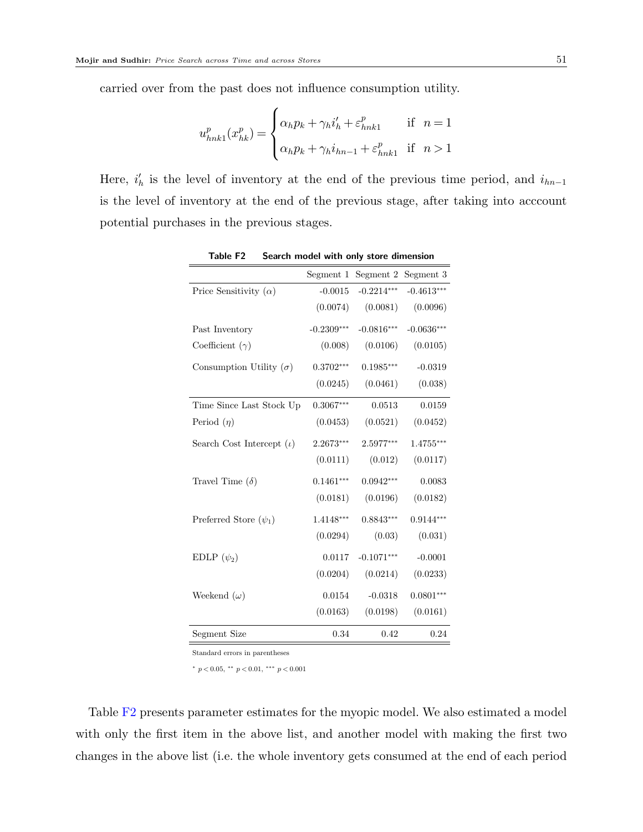carried over from the past does not influence consumption utility.

$$
u_{nnk1}^p(x_{hk}^p) = \begin{cases} \alpha_h p_k + \gamma_h i_h' + \varepsilon_{nnk1}^p & \text{if } n = 1\\ \alpha_h p_k + \gamma_h i_{hn-1} + \varepsilon_{nnk1}^p & \text{if } n > 1 \end{cases}
$$

<span id="page-51-0"></span>Here,  $i'_h$  is the level of inventory at the end of the previous time period, and  $i_{hn-1}$ is the level of inventory at the end of the previous stage, after taking into acccount potential purchases in the previous stages.

|                                 | Segment 1    | Segment 2    | Segment 3    |
|---------------------------------|--------------|--------------|--------------|
| Price Sensitivity $(\alpha)$    | $-0.0015$    | $-0.2214***$ | $-0.4613***$ |
|                                 | (0.0074)     | (0.0081)     | (0.0096)     |
| Past Inventory                  | $-0.2309***$ | $-0.0816***$ | $-0.0636***$ |
| Coefficient $(\gamma)$          | (0.008)      | (0.0106)     | (0.0105)     |
| Consumption Utility $(\sigma)$  | $0.3702***$  | $0.1985***$  | $-0.0319$    |
|                                 | (0.0245)     | (0.0461)     | (0.038)      |
| Time Since Last Stock Up        | $0.3067***$  | 0.0513       | 0.0159       |
| Period $(\eta)$                 | (0.0453)     | (0.0521)     | (0.0452)     |
| Search Cost Intercept $(\iota)$ | 2.2673***    | 2.5977***    | $1.4755***$  |
|                                 | (0.0111)     | (0.012)      | (0.0117)     |
| Travel Time $(\delta)$          | $0.1461***$  | $0.0942***$  | 0.0083       |
|                                 | (0.0181)     | (0.0196)     | (0.0182)     |
| Preferred Store $(\psi_1)$      | $1.4148***$  | $0.8843***$  | $0.9144***$  |
|                                 | (0.0294)     | (0.03)       | (0.031)      |
| EDLP $(\psi_2)$                 | 0.0117       | $-0.1071***$ | $-0.0001$    |
|                                 | (0.0204)     | (0.0214)     | (0.0233)     |
| Weekend $(\omega)$              | 0.0154       | $-0.0318$    | $0.0801***$  |
|                                 | (0.0163)     | (0.0198)     | (0.0161)     |
| Segment Size                    | 0.34         | 0.42         | 0.24         |

Table F2 Search model with only store dimension

Standard errors in parentheses

<sup>∗</sup> p < 0.05, ∗∗ p < 0.01, ∗∗∗ p < 0.001

Table [F2](#page-51-0) presents parameter estimates for the myopic model. We also estimated a model with only the first item in the above list, and another model with making the first two changes in the above list (i.e. the whole inventory gets consumed at the end of each period